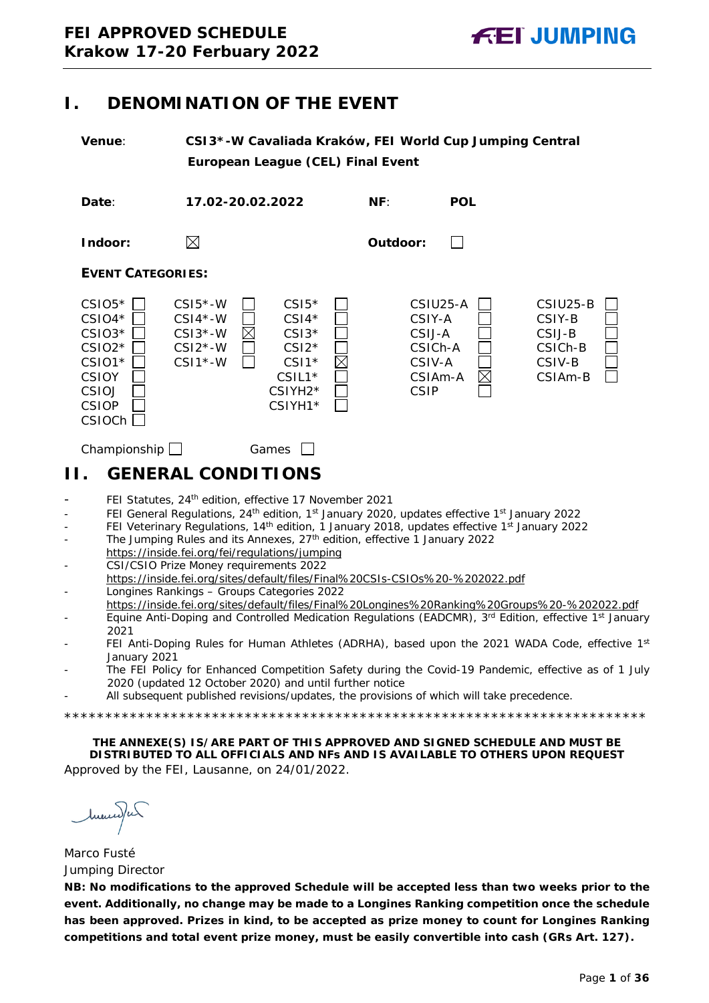# <span id="page-0-0"></span>**I. DENOMINATION OF THE EVENT**

**Venue**: **CSI3\*-W Cavaliada Kraków, FEI World Cup Jumping Central European League (CEL) Final Event**

**Date**: **17.02-20.02.2022 NF**: **POL**

**Indoor: Outdoor:**

П

## **EVENT CATEGORIES:**



Championship Games  $\Box$ 

# <span id="page-0-1"></span>**II. GENERAL CONDITIONS**

- FEI Statutes, 24<sup>th</sup> edition, effective 17 November 2021
- FEI General Regulations, 24<sup>th</sup> edition, 1<sup>st</sup> January 2020, updates effective 1<sup>st</sup> January 2022
- FEI Veterinary Regulations, 14<sup>th</sup> edition, 1 January 2018, updates effective 1<sup>st</sup> January 2022
- The Jumping Rules and its Annexes, 27<sup>th</sup> edition, effective 1 January 2022 https://inside.fei.org/fei/regulations/jumping
- CSI/CSIO Prize Money requirements 2022
- https://inside.fei.org/sites/default/files/Final%20CSIs-CSIOs%20-%202022.pdf - Longines Rankings – Groups Categories 2022
- https://inside.fei.org/sites/default/files/Final%20Longines%20Ranking%20Groups%20-%202022.pdf
- Equine Anti-Doping and Controlled Medication Regulations (EADCMR), 3<sup>rd</sup> Edition, effective 1<sup>st</sup> January 2021
- FEI Anti-Doping Rules for Human Athletes (ADRHA), based upon the 2021 WADA Code, effective 1st January 2021
- The FEI Policy for Enhanced Competition Safety during the Covid-19 Pandemic, effective as of 1 July 2020 (updated 12 October 2020) and until further notice
- All subsequent published revisions/updates, the provisions of which will take precedence.

\*\*\*\*\*\*\*\*\*\*\*\*\*\*\*\*\*\*\*\*\*\*\*\*\*\*\*\*\*\*\*\*\*\*\*\*\*\*\*\*\*\*\*\*\*\*\*\*\*\*\*\*\*\*\*\*\*\*\*\*\*\*\*\*\*\*\*\*\*\*\*

**THE ANNEXE(S) IS/ARE PART OF THIS APPROVED AND SIGNED SCHEDULE AND MUST BE DISTRIBUTED TO ALL OFFICIALS AND NFs AND IS AVAILABLE TO OTHERS UPON REQUEST** Approved by the FEI, Lausanne, on 24/01/2022.

huma)ur

Marco Fusté Jumping Director

**NB: No modifications to the approved Schedule will be accepted less than two weeks prior to the event. Additionally, no change may be made to a Longines Ranking competition once the schedule has been approved. Prizes in kind, to be accepted as prize money to count for Longines Ranking competitions and total event prize money, must be easily convertible into cash (GRs Art. 127).**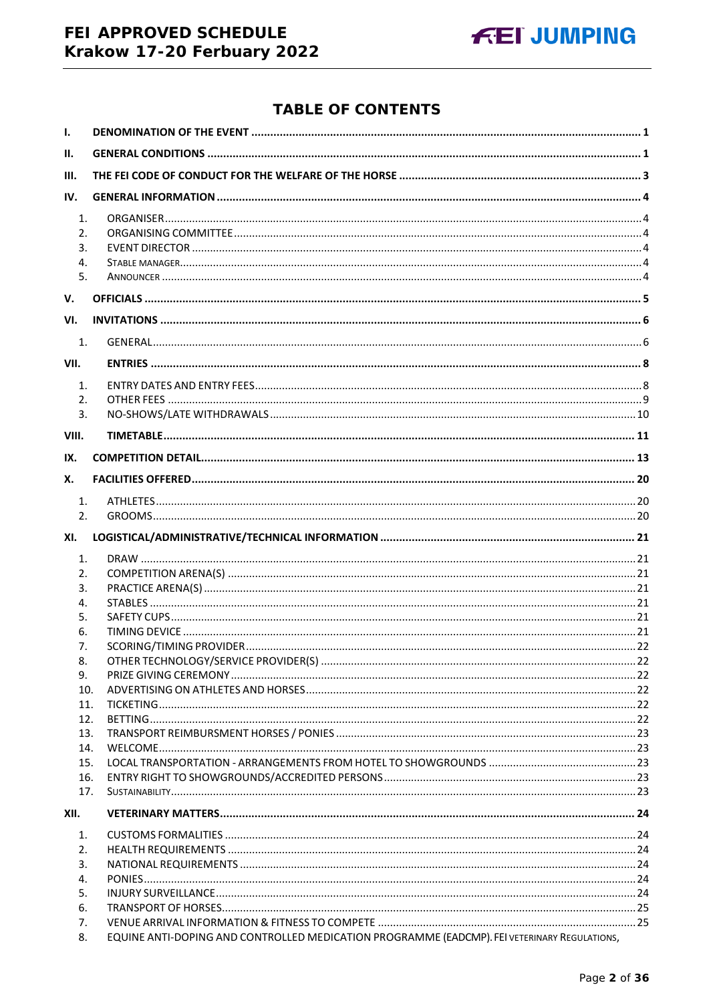# FEI APPROVED SCHEDULE Krakow 17-20 Ferbuary 2022



# **TABLE OF CONTENTS**

| $\mathbf{L}$                          |                                                                                              |  |
|---------------------------------------|----------------------------------------------------------------------------------------------|--|
| II.                                   |                                                                                              |  |
| III.                                  |                                                                                              |  |
| IV.                                   |                                                                                              |  |
| 1.<br>2.<br>3.<br>4.<br>5.            |                                                                                              |  |
| V.                                    |                                                                                              |  |
| VI.                                   |                                                                                              |  |
| 1.                                    |                                                                                              |  |
| VII.                                  |                                                                                              |  |
| 1.<br>2.<br>$\overline{3}$ .<br>VIII. |                                                                                              |  |
| IX.                                   |                                                                                              |  |
|                                       |                                                                                              |  |
| Х.                                    |                                                                                              |  |
| 1.<br>2.                              |                                                                                              |  |
| XI.                                   |                                                                                              |  |
| 1.                                    |                                                                                              |  |
| 2.                                    |                                                                                              |  |
| 3.                                    |                                                                                              |  |
| 4.                                    |                                                                                              |  |
| 5.                                    |                                                                                              |  |
| 6.                                    |                                                                                              |  |
| 7.                                    |                                                                                              |  |
| 8.                                    |                                                                                              |  |
| 9.                                    |                                                                                              |  |
| 10.                                   |                                                                                              |  |
| 11.                                   |                                                                                              |  |
| 12.                                   |                                                                                              |  |
| 13.<br>14.                            |                                                                                              |  |
| 15.                                   |                                                                                              |  |
| 16.                                   |                                                                                              |  |
| 17.                                   |                                                                                              |  |
| XII.                                  |                                                                                              |  |
| 1.                                    |                                                                                              |  |
| 2.                                    |                                                                                              |  |
| 3.                                    |                                                                                              |  |
| 4.                                    |                                                                                              |  |
| 5.                                    |                                                                                              |  |
| 6.                                    |                                                                                              |  |
| 7.                                    |                                                                                              |  |
| 8.                                    | EQUINE ANTI-DOPING AND CONTROLLED MEDICATION PROGRAMME (EADCMP). FEI VETERINARY REGULATIONS, |  |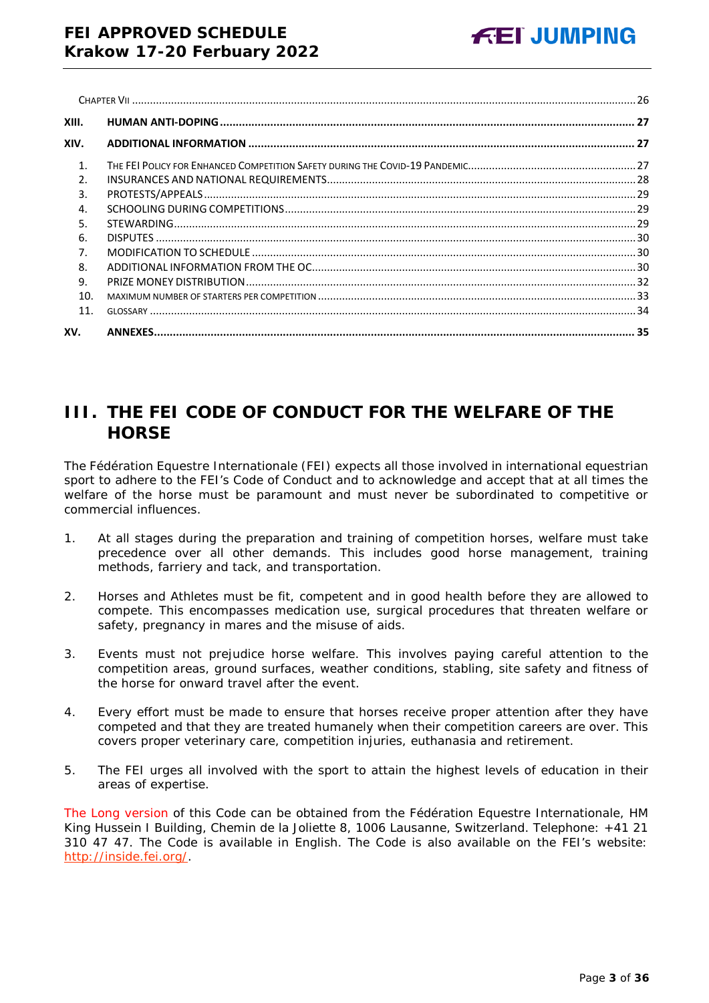| XIII.          |  |
|----------------|--|
| XIV.           |  |
| $\mathbf{1}$ . |  |
| $\mathcal{P}$  |  |
| 3.             |  |
| $\overline{4}$ |  |
| 5.             |  |
| 6.             |  |
| 7.             |  |
| 8.             |  |
| 9.             |  |
| 10.            |  |
| 11.            |  |
| XV.            |  |

# <span id="page-2-0"></span>**III. THE FEI CODE OF CONDUCT FOR THE WELFARE OF THE HORSE**

The Fédération Equestre Internationale (FEI) expects all those involved in international equestrian sport to adhere to the FEI's Code of Conduct and to acknowledge and accept that at all times the welfare of the horse must be paramount and must never be subordinated to competitive or commercial influences.

- 1. At all stages during the preparation and training of competition horses, welfare must take precedence over all other demands. This includes good horse management, training methods, farriery and tack, and transportation.
- 2. Horses and Athletes must be fit, competent and in good health before they are allowed to compete. This encompasses medication use, surgical procedures that threaten welfare or safety, pregnancy in mares and the misuse of aids.
- 3. Events must not prejudice horse welfare. This involves paying careful attention to the competition areas, ground surfaces, weather conditions, stabling, site safety and fitness of the horse for onward travel after the event.
- 4. Every effort must be made to ensure that horses receive proper attention after they have competed and that they are treated humanely when their competition careers are over. This covers proper veterinary care, competition injuries, euthanasia and retirement.
- 5. The FEI urges all involved with the sport to attain the highest levels of education in their areas of expertise.

The Long version of this Code can be obtained from the Fédération Equestre Internationale, HM King Hussein I Building, Chemin de la Joliette 8, 1006 Lausanne, Switzerland. Telephone: +41 21 310 47 47. The Code is available in English. The Code is also available on the FEI's website: [http://inside.fei.org/.](http://inside.fei.org/)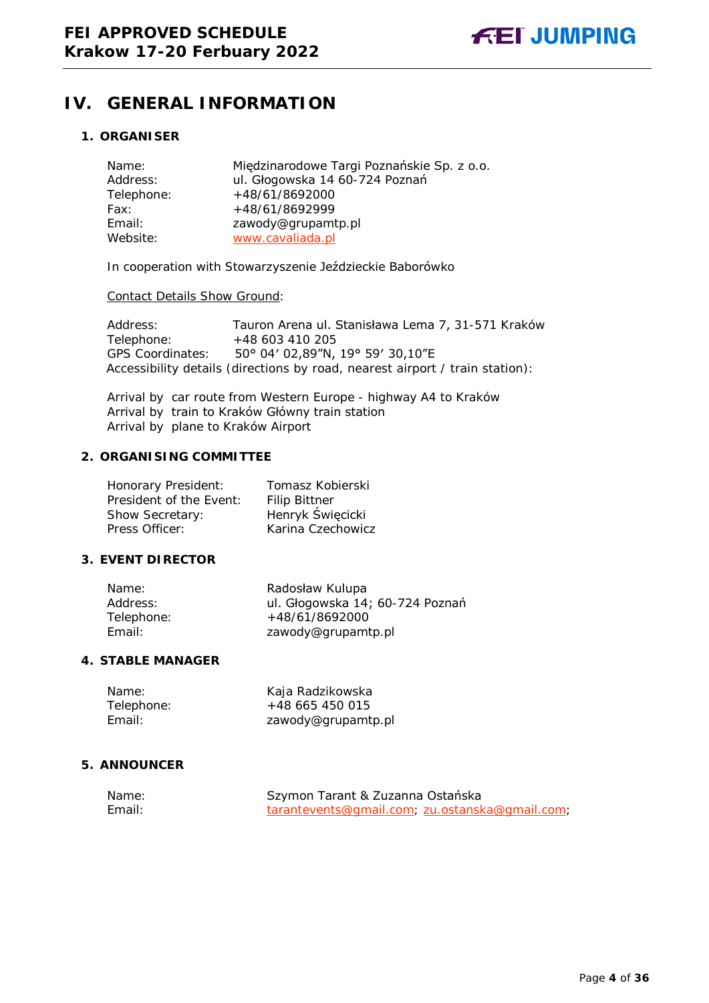

# <span id="page-3-0"></span>**IV. GENERAL INFORMATION**

## <span id="page-3-1"></span>**1. ORGANISER**

| Name:      | Międzinarodowe Targi Poznańskie Sp. z o.o. |
|------------|--------------------------------------------|
| Address:   | ul. Głogowska 14 60-724 Poznań             |
| Telephone: | +48/61/8692000                             |
| Fax:       | +48/61/8692999                             |
| Email:     | zawody@grupamtp.pl                         |
| Website:   | www.cavaliada.pl                           |

In cooperation with Stowarzyszenie Jeździeckie Baborówko

#### Contact Details Show Ground:

Address: Tauron Arena ul. Stanisława Lema 7, 31-571 Kraków<br>Telephone: +48 603 410 205 Telephone: +48 603 410 205 GPS Coordinates: 50° 04′ 02,89"N, 19° 59′ 30,10"E Accessibility details (directions by road, nearest airport / train station):

Arrival by car route from Western Europe - highway A4 to Kraków Arrival by train to Kraków Główny train station Arrival by plane to Kraków Airport

## <span id="page-3-2"></span>**2. ORGANISING COMMITTEE**

| Honorary President:     | Tomasz Kobierski     |
|-------------------------|----------------------|
| President of the Event: | <b>Filip Bittner</b> |
| Show Secretary:         | Henryk Święcicki     |
| Press Officer:          | Karina Czechowicz    |

#### <span id="page-3-3"></span>**3. EVENT DIRECTOR**

| Name:      | Radosław Kulupa                 |
|------------|---------------------------------|
| Address:   | ul. Głogowska 14; 60-724 Poznań |
| Telephone: | +48/61/8692000                  |
| Email:     | zawody@grupamtp.pl              |

## <span id="page-3-4"></span>**4. STABLE MANAGER**

| Name:      | Kaja Radzikowska   |
|------------|--------------------|
| Telephone: | +48 665 450 015    |
| Email:     | zawody@grupamtp.pl |

## <span id="page-3-5"></span>**5. ANNOUNCER**

| Name:  | Szymon Tarant & Zuzanna Ostańska               |
|--------|------------------------------------------------|
| Email: | tarantevents@gmail.com, zu.ostanska@gmail.com, |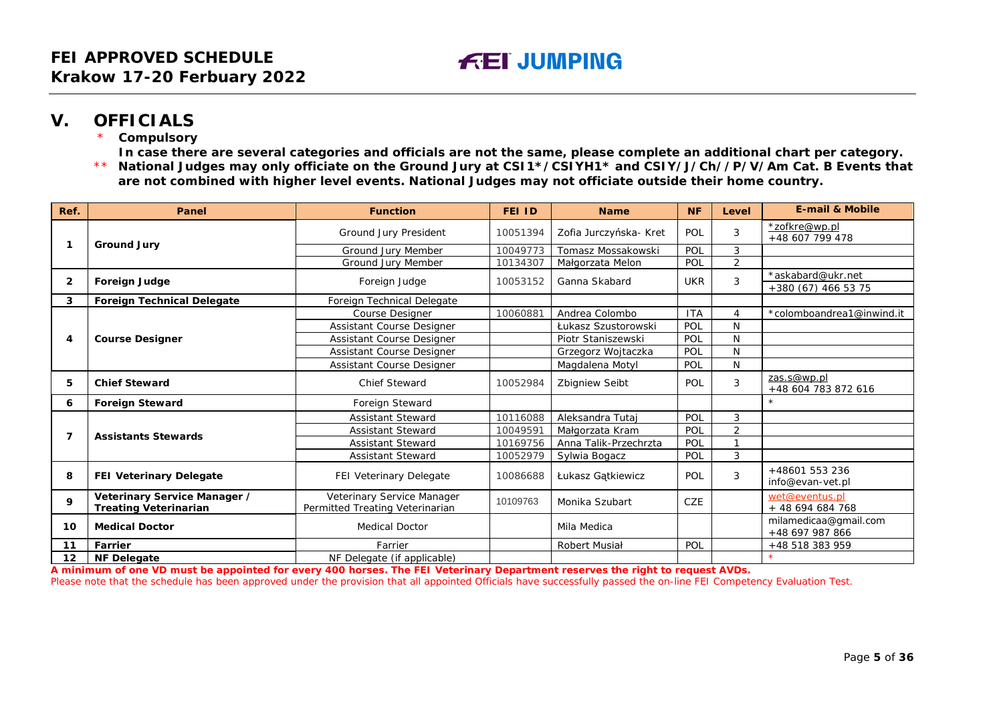# **V. OFFICIALS**

**Compulsory** 

**In case there are several categories and officials are not the same, please complete an additional chart per category.**

\*\* **National Judges may only officiate on the Ground Jury at CSI1\*/CSIYH1\* and CSIY/J/Ch//P/V/Am Cat. B Events that are not combined with higher level events. National Judges may not officiate outside their home country.**

| Ref. | Panel                                                        | <b>Function</b>                                               | FEI ID   | <b>Name</b>            | <b>NF</b>           | Level | <b>E-mail &amp; Mobile</b>               |
|------|--------------------------------------------------------------|---------------------------------------------------------------|----------|------------------------|---------------------|-------|------------------------------------------|
|      |                                                              | Ground Jury President                                         | 10051394 | Zofia Jurczyńska- Kret | POL                 | 3     | *zofkre@wp.pl<br>+48 607 799 478         |
|      | <b>Ground Jury</b>                                           | Ground Jury Member                                            | 10049773 | Tomasz Mossakowski     | POL                 | 3     |                                          |
|      |                                                              | Ground Jury Member                                            | 10134307 | Małgorzata Melon       | POL                 | 2     |                                          |
| 2    |                                                              |                                                               | 10053152 | Ganna Skabard          | <b>UKR</b>          | 3     | *askabard@ukr.net                        |
|      | Foreign Judge                                                | Foreign Judge                                                 |          |                        |                     |       | +380 (67) 466 53 75                      |
| 3    | <b>Foreign Technical Delegate</b>                            | Foreign Technical Delegate                                    |          |                        |                     |       |                                          |
|      |                                                              | <b>Course Designer</b>                                        | 10060881 | Andrea Colombo         | <b>ITA</b>          | 4     | *colomboandrea1@inwind.it                |
|      |                                                              | Assistant Course Designer                                     |          | Łukasz Szustorowski    | POL                 | N     |                                          |
| 4    | <b>Course Designer</b>                                       | Assistant Course Designer                                     |          | Piotr Staniszewski     | POL                 | N     |                                          |
|      |                                                              | <b>Assistant Course Designer</b>                              |          | Grzegorz Wojtaczka     | POL                 | N     |                                          |
|      |                                                              | Assistant Course Designer                                     |          | Magdalena Motyl        | POL                 | N     |                                          |
| 5    | <b>Chief Steward</b>                                         | <b>Chief Steward</b>                                          | 10052984 | <b>Zbigniew Seibt</b>  | POL                 | 3     | zas.s@wp.pl<br>+48 604 783 872 616       |
| 6    | <b>Foreign Steward</b>                                       | Foreign Steward                                               |          |                        |                     |       |                                          |
|      | <b>Assistants Stewards</b>                                   | <b>Assistant Steward</b>                                      | 10116088 | Aleksandra Tutai       | POL                 | 3     |                                          |
| 7    |                                                              | <b>Assistant Steward</b>                                      | 10049591 | Małgorzata Kram        | POL                 | 2     |                                          |
|      |                                                              | <b>Assistant Steward</b>                                      | 10169756 | Anna Talik-Przechrzta  | POL<br>$\mathbf{A}$ |       |                                          |
|      |                                                              | <b>Assistant Steward</b>                                      | 10052979 | Sylwia Bogacz          | POL                 | 3     |                                          |
| 8    | FEI Veterinary Delegate                                      | FEI Veterinary Delegate                                       | 10086688 | Łukasz Gątkiewicz      | POL                 | 3     | +48601 553 236<br>info@evan-vet.pl       |
| 9    | Veterinary Service Manager /<br><b>Treating Veterinarian</b> | Veterinary Service Manager<br>Permitted Treating Veterinarian | 10109763 | Monika Szubart         | <b>CZE</b>          |       | wet@eventus.pl<br>+ 48 694 684 768       |
| 10   | <b>Medical Doctor</b>                                        | <b>Medical Doctor</b>                                         |          | Mila Medica            |                     |       | milamedicaa@gmail.com<br>+48 697 987 866 |
| 11   | <b>Farrier</b>                                               | Farrier                                                       |          | Robert Musiał          | POL                 |       | +48 518 383 959                          |
| 12   | <b>NF Delegate</b>                                           | NF Delegate (if applicable)                                   |          |                        |                     |       |                                          |

<span id="page-4-0"></span>**A minimum of one VD must be appointed for every 400 horses. The FEI Veterinary Department reserves the right to request AVDs.**

Please note that the schedule has been approved under the provision that all appointed Officials have successfully passed the on-line FEI Competency Evaluation Test.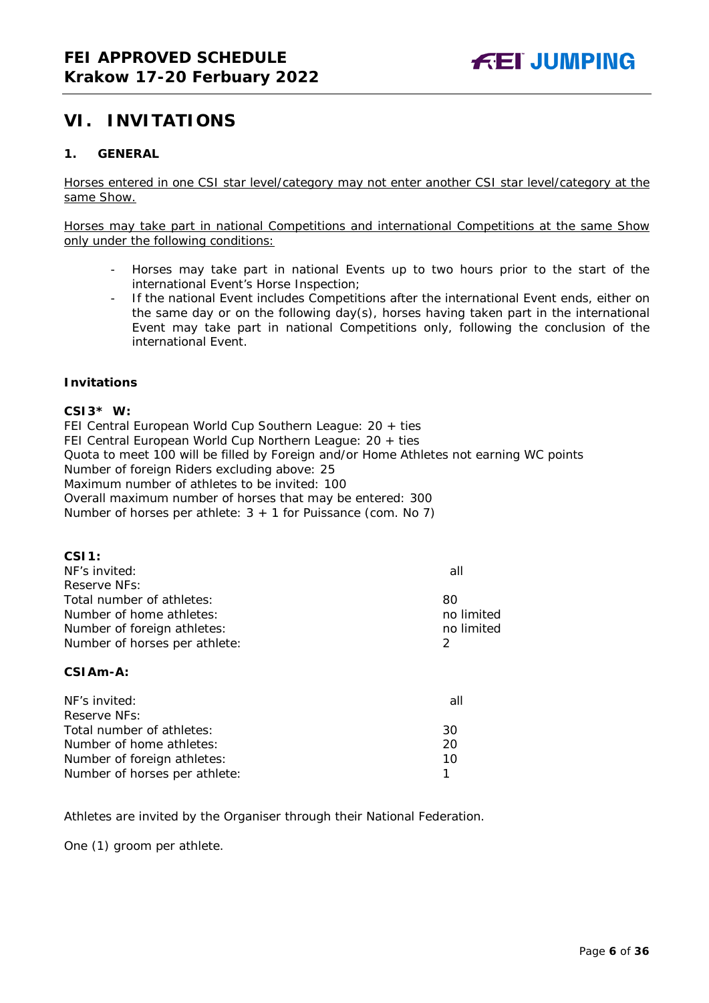# <span id="page-5-0"></span>**VI. INVITATIONS**

## <span id="page-5-1"></span>**1. GENERAL**

Horses entered in one CSI star level/category may not enter another CSI star level/category at the same Show.

Horses may take part in national Competitions and international Competitions at the same Show only under the following conditions:

- Horses may take part in national Events up to two hours prior to the start of the international Event's Horse Inspection;
- If the national Event includes Competitions after the international Event ends, either on the same day or on the following day(s), horses having taken part in the international Event may take part in national Competitions only, following the conclusion of the international Event.

#### **Invitations**

#### **CSI3\* W:**

FEI Central European World Cup Southern League: 20 + ties FEI Central European World Cup Northern League: 20 + ties Quota to meet 100 will be filled by Foreign and/or Home Athletes not earning WC points Number of foreign Riders excluding above: 25 Maximum number of athletes to be invited: 100 Overall maximum number of horses that may be entered: 300 Number of horses per athlete:  $3 + 1$  for Puissance (com. No 7)

| CSI1:                         |            |
|-------------------------------|------------|
| NF's invited:                 | all        |
| Reserve NFs:                  |            |
| Total number of athletes:     | 80         |
| Number of home athletes:      | no limited |
| Number of foreign athletes:   | no limited |
| Number of horses per athlete: | 2          |
| CSIA <sub>m</sub> -A:         |            |
| NF's invited:                 | all        |
| Reserve NFs:                  |            |
| Total number of athletes:     | 30         |
| Number of home athletes:      | 20         |
| Number of foreign athletes:   | 10         |
| Number of horses per athlete: |            |

Athletes are invited by the Organiser through their National Federation.

One (1) groom per athlete.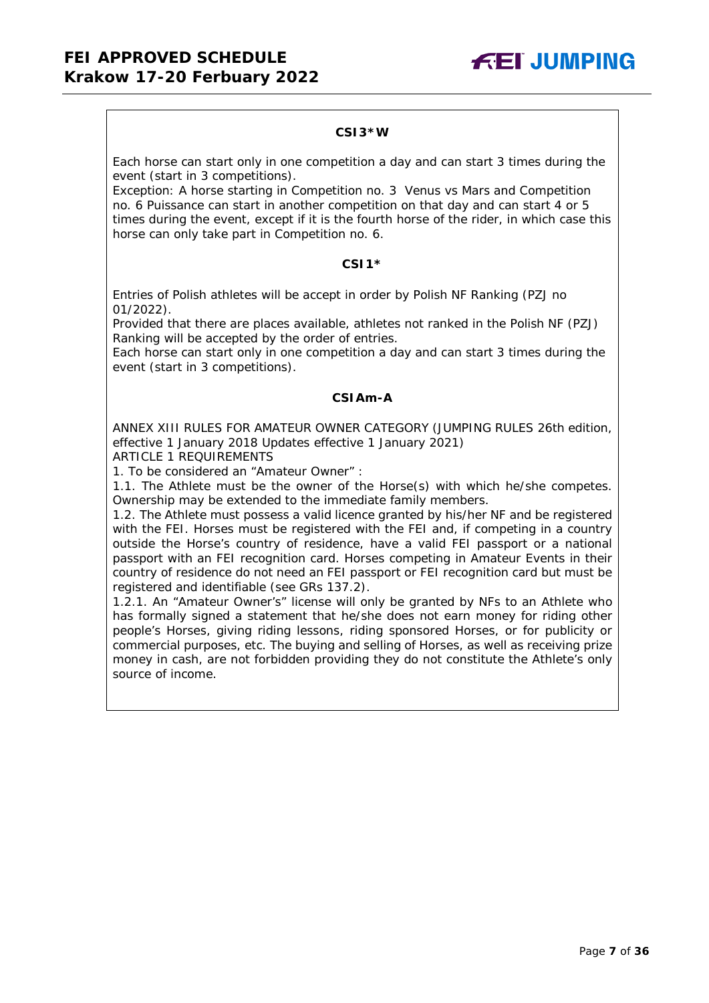#### **CSI3\*W**

Each horse can start only in one competition a day and can start 3 times during the event (start in 3 competitions).

Exception: A horse starting in Competition no. 3 Venus vs Mars and Competition no. 6 Puissance can start in another competition on that day and can start 4 or 5 times during the event, except if it is the fourth horse of the rider, in which case this horse can only take part in Competition no. 6.

#### **CSI1\***

Entries of Polish athletes will be accept in order by Polish NF Ranking (PZJ no 01/2022).

Provided that there are places available, athletes not ranked in the Polish NF (PZJ) Ranking will be accepted by the order of entries.

Each horse can start only in one competition a day and can start 3 times during the event (start in 3 competitions).

## **CSIAm-A**

ANNEX XIII RULES FOR AMATEUR OWNER CATEGORY (JUMPING RULES 26th edition, effective 1 January 2018 Updates effective 1 January 2021)

ARTICLE 1 REQUIREMENTS

1. To be considered an "Amateur Owner" :

1.1. The Athlete must be the owner of the Horse(s) with which he/she competes. Ownership may be extended to the immediate family members.

1.2. The Athlete must possess a valid licence granted by his/her NF and be registered with the FEI. Horses must be registered with the FEI and, if competing in a country outside the Horse's country of residence, have a valid FEI passport or a national passport with an FEI recognition card. Horses competing in Amateur Events in their country of residence do not need an FEI passport or FEI recognition card but must be registered and identifiable (see GRs 137.2).

1.2.1. An "Amateur Owner's" license will only be granted by NFs to an Athlete who has formally signed a statement that he/she does not earn money for riding other people's Horses, giving riding lessons, riding sponsored Horses, or for publicity or commercial purposes, etc. The buying and selling of Horses, as well as receiving prize money in cash, are not forbidden providing they do not constitute the Athlete's only source of income.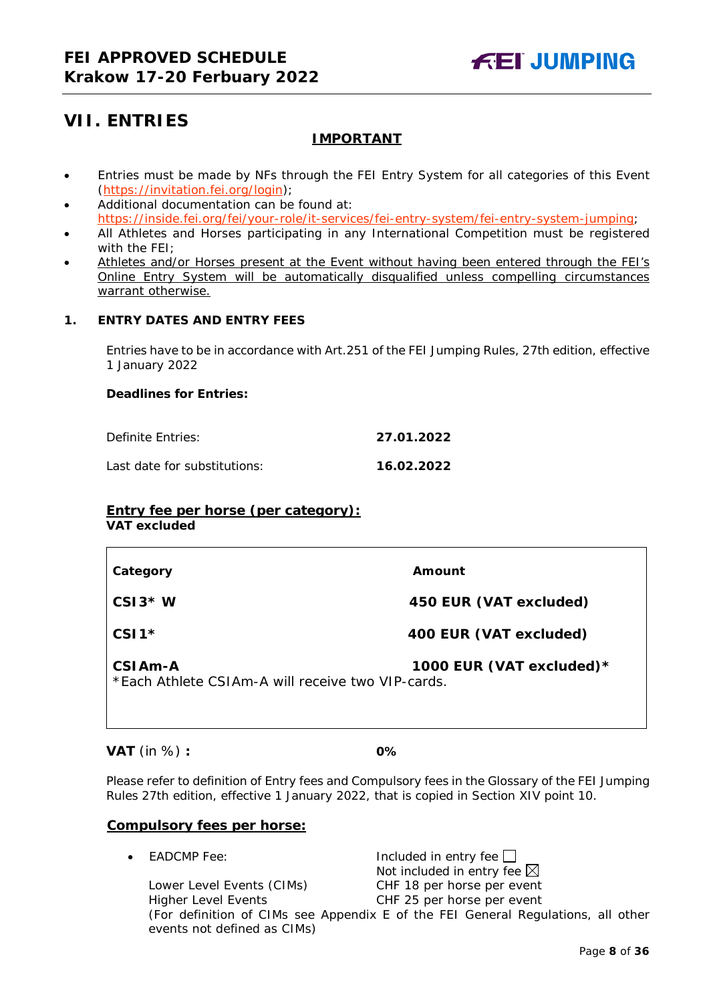# <span id="page-7-0"></span>**VII. ENTRIES**

## **IMPORTANT**

- Entries must be made by NFs through the FEI Entry System for all categories of this Event [\(https://invitation.fei.org/login\)](https://invitation.fei.org/login);
- Additional documentation can be found at: [https://inside.fei.org/fei/your-role/it-services/fei-entry-system/fei-entry-system-jumping;](https://inside.fei.org/fei/your-role/it-services/fei-entry-system/fei-entry-system-jumping)
- All Athletes and Horses participating in any International Competition must be registered with the FEI;
- Athletes and/or Horses present at the Event without having been entered through the FEI's Online Entry System will be automatically disqualified unless compelling circumstances warrant otherwise.

## <span id="page-7-1"></span>**1. ENTRY DATES AND ENTRY FEES**

Entries have to be in accordance with Art.251 of the FEI Jumping Rules, 27th edition, effective 1 January 2022

## **Deadlines for Entries:**

Definite Entries: **27.01.2022**

Last date for substitutions: **16.02.2022**

## **Entry fee per horse** *(per category):*

**VAT excluded**

| Category                                                                  | Amount                    |
|---------------------------------------------------------------------------|---------------------------|
| $CSI3*W$                                                                  | 450 EUR (VAT excluded)    |
| $CSI1*$                                                                   | 400 EUR (VAT excluded)    |
| CSIA <sub>m</sub> -A<br>*Fach Athlete CSIAm-A will receive two VIP-cards. | 1000 EUR (VAT excluded) * |

**VAT** (in %) **: 0%**

Please refer to definition of Entry fees and Compulsory fees in the Glossary of the FEI Jumping Rules 27th edition, effective 1 January 2022, that is copied in Section XIV point 10.

## **Compulsory fees per horse:**

 $E$ ADCMP Fee:  $\Box$  Included in entry fee  $\Box$ Not included in entry fee  $\boxtimes$ Lower Level Events (CIMs) CHF 18 per horse per event Higher Level Events CHF 25 per horse per event (For definition of CIMs see Appendix E of the FEI General Regulations, all other events not defined as CIMs)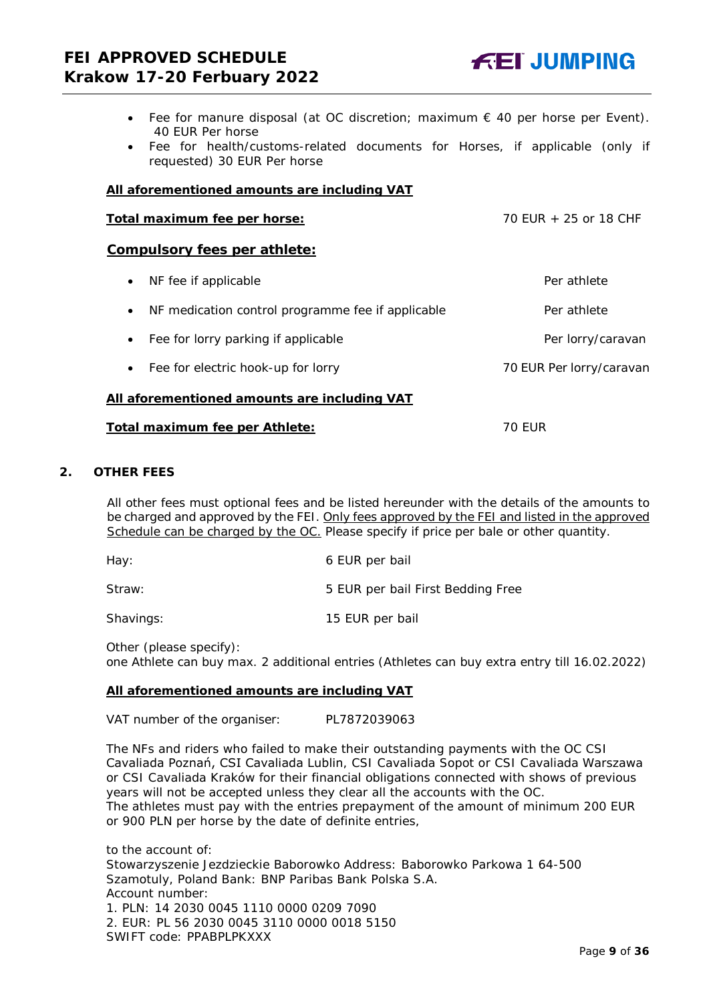- Fee for manure disposal (at OC discretion; maximum  $\epsilon$  40 per horse per Event). 40 EUR Per horse
- Fee for health/customs-related documents for Horses, if applicable (only if requested) 30 EUR Per horse

#### **All aforementioned amounts are including VAT**

## Total maximum fee per horse:  $70$  EUR + 25 or 18 CHF

#### **Compulsory fees per athlete:**

• NF fee if applicable  $\overline{P}$  and  $\overline{P}$  athlete • NF medication control programme fee if applicable Per athlete • Fee for lorry parking if applicable **Per lorry/caravan** • Fee for electric hook-up for lorry metal was not all the 70 EUR Per lorry/caravan **All aforementioned amounts are including VAT**

# **Total maximum fee per Athlete:** 70 EUR

#### <span id="page-8-0"></span>**2. OTHER FEES**

All other fees must optional fees and be listed hereunder with the details of the amounts to be charged and approved by the FEI. Only fees approved by the FEI and listed in the approved Schedule can be charged by the OC. *Please specify if price per bale or other quantity.*

| Hay:      | 6 EUR per bail                    |
|-----------|-----------------------------------|
| Straw:    | 5 EUR per bail First Bedding Free |
| Shavings: | 15 EUR per bail                   |

Other (please specify): one Athlete can buy max. 2 additional entries (Athletes can buy extra entry till 16.02.2022)

#### **All aforementioned amounts are including VAT**

VAT number of the organiser: PL7872039063

The NFs and riders who failed to make their outstanding payments with the OC CSI Cavaliada Poznań, CSI Cavaliada Lublin, CSI Cavaliada Sopot or CSI Cavaliada Warszawa or CSI Cavaliada Kraków for their financial obligations connected with shows of previous years will not be accepted unless they clear all the accounts with the OC. The athletes must pay with the entries prepayment of the amount of minimum 200 EUR or 900 PLN per horse by the date of definite entries,

to the account of: Stowarzyszenie Jezdzieckie Baborowko Address: Baborowko Parkowa 1 64-500 Szamotuly, Poland Bank: BNP Paribas Bank Polska S.A. Account number: 1. PLN: 14 2030 0045 1110 0000 0209 7090 2. EUR: PL 56 2030 0045 3110 0000 0018 5150 SWIFT code: PPABPLPKXXX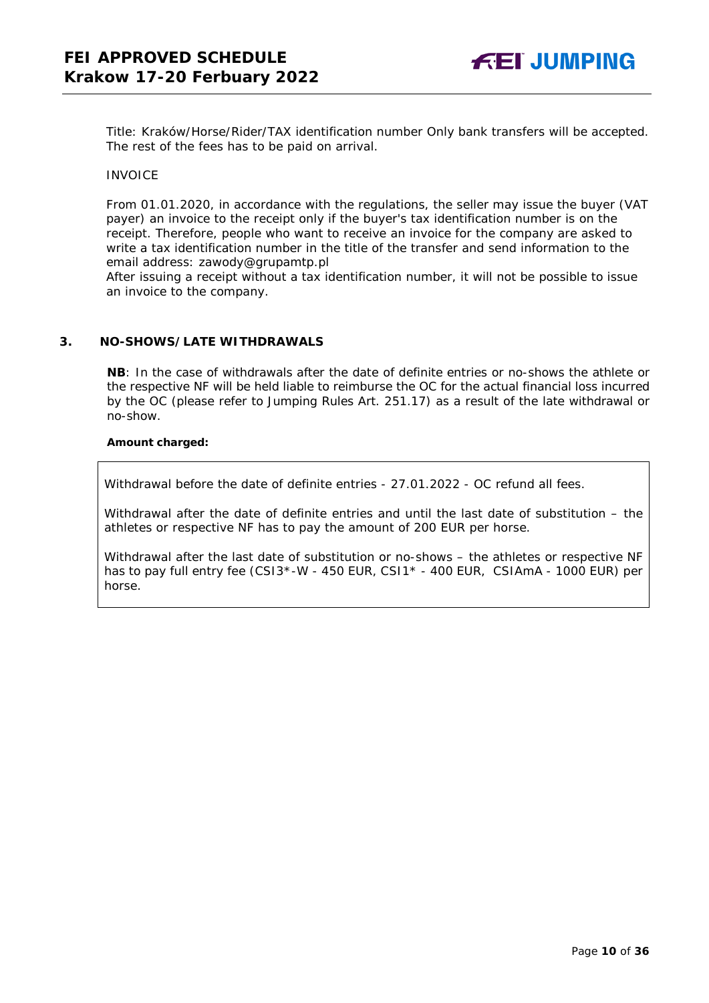Title: Kraków/Horse/Rider/TAX identification number Only bank transfers will be accepted. The rest of the fees has to be paid on arrival.

#### INVOICE

From 01.01.2020, in accordance with the regulations, the seller may issue the buyer (VAT payer) an invoice to the receipt only if the buyer's tax identification number is on the receipt. Therefore, people who want to receive an invoice for the company are asked to write a tax identification number in the title of the transfer and send information to the email address: zawody@grupamtp.pl

After issuing a receipt without a tax identification number, it will not be possible to issue an invoice to the company.

#### <span id="page-9-0"></span>**3. NO-SHOWS/LATE WITHDRAWALS**

**NB**: In the case of withdrawals after the date of definite entries or no-shows the athlete or the respective NF will be held liable to reimburse the OC for the actual financial loss incurred by the OC (please refer to Jumping Rules Art. 251.17) as a result of the late withdrawal or no-show.

#### **Amount charged:**

Withdrawal before the date of definite entries - 27.01.2022 - OC refund all fees.

Withdrawal after the date of definite entries and until the last date of substitution – the athletes or respective NF has to pay the amount of 200 EUR per horse.

Withdrawal after the last date of substitution or no-shows – the athletes or respective NF has to pay full entry fee (CSI3\*-W - 450 EUR, CSI1\* - 400 EUR, CSIAmA - 1000 EUR) per horse.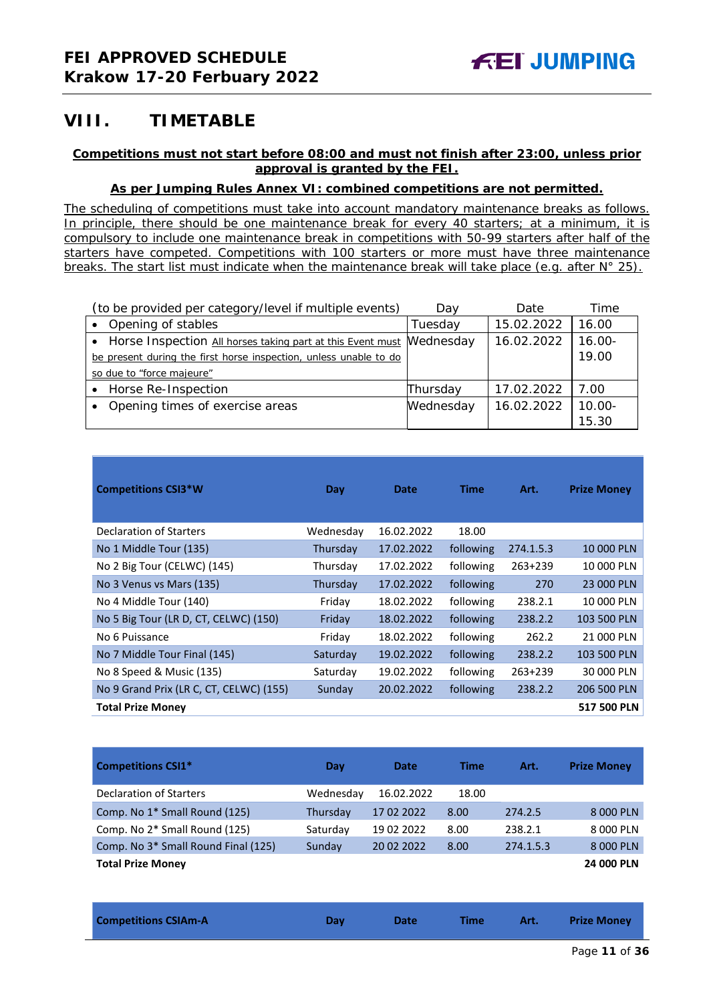# <span id="page-10-0"></span>**VIII. TIMETABLE**

## **Competitions must not start before 08:00 and must not finish after 23:00, unless prior approval is granted by the FEI.**

## **As per Jumping Rules Annex VI: combined competitions are not permitted.**

*The scheduling of competitions must take into account mandatory maintenance breaks as follows. In principle, there should be one maintenance break for every 40 starters; at a minimum, it is compulsory to include one maintenance break in competitions with 50-99 starters after half of the starters have competed. Competitions with 100 starters or more must have three maintenance breaks. The start list must indicate when the maintenance break will take place (e.g. after N° 25).*

| (to be provided per category/level if multiple events)                 | Day       | Date       | Time      |
|------------------------------------------------------------------------|-----------|------------|-----------|
| Opening of stables                                                     | Tuesday   | 15.02.2022 | 16.00     |
| • Horse Inspection All horses taking part at this Event must Mednesday |           | 16.02.2022 | $16.00 -$ |
| be present during the first horse inspection, unless unable to do      |           |            | 19.00     |
| so due to "force majeure"                                              |           |            |           |
| Horse Re-Inspection                                                    | Thursday  | 17.02.2022 | 7.00      |
| Opening times of exercise areas                                        | Wednesday | 16.02.2022 | $10.00 -$ |
|                                                                        |           |            | 15.30     |

| <b>Competitions CSI3*W</b>              | Day       | Date       | <b>Time</b> | Art.      | <b>Prize Money</b> |
|-----------------------------------------|-----------|------------|-------------|-----------|--------------------|
| Declaration of Starters                 | Wednesday | 16.02.2022 | 18.00       |           |                    |
| No 1 Middle Tour (135)                  | Thursday  | 17.02.2022 | following   | 274.1.5.3 | 10 000 PLN         |
| No 2 Big Tour (CELWC) (145)             | Thursday  | 17.02.2022 | following   | 263+239   | 10 000 PLN         |
| No 3 Venus vs Mars (135)                | Thursday  | 17.02.2022 | following   | 270       | 23 000 PLN         |
| No 4 Middle Tour (140)                  | Friday    | 18.02.2022 | following   | 238.2.1   | 10 000 PLN         |
| No 5 Big Tour (LR D, CT, CELWC) (150)   | Friday    | 18.02.2022 | following   | 238.2.2   | 103 500 PLN        |
| No 6 Puissance                          | Friday    | 18.02.2022 | following   | 262.2     | 21 000 PLN         |
| No 7 Middle Tour Final (145)            | Saturday  | 19.02.2022 | following   | 238.2.2   | 103 500 PLN        |
| No 8 Speed & Music (135)                | Saturday  | 19.02.2022 | following   | 263+239   | 30 000 PLN         |
| No 9 Grand Prix (LR C, CT, CELWC) (155) | Sunday    | 20.02.2022 | following   | 238.2.2   | 206 500 PLN        |
| <b>Total Prize Money</b>                |           |            |             |           | 517 500 PLN        |

| <b>Competitions CSI1*</b>                       | Day       | <b>Date</b> | Time  | Art.      | <b>Prize Money</b> |
|-------------------------------------------------|-----------|-------------|-------|-----------|--------------------|
| <b>Declaration of Starters</b>                  | Wednesday | 16.02.2022  | 18.00 |           |                    |
| Comp. No 1 <sup>*</sup> Small Round (125)       | Thursday  | 17 02 2022  | 8.00  | 274.2.5   | 8 000 PLN          |
| Comp. No 2* Small Round (125)                   | Saturday  | 19 02 2022  | 8.00  | 238.2.1   | 8 000 PLN          |
| Comp. No 3 <sup>*</sup> Small Round Final (125) | Sunday    | 20 02 2022  | 8.00  | 274.1.5.3 | 8 000 PLN          |
| <b>Total Prize Money</b>                        |           |             |       |           | 24 000 PLN         |

| <b>Competitions CSIAm-A</b> | Dav | <b>Date</b> | Time | Art. | <b>Prize Money</b> |  |
|-----------------------------|-----|-------------|------|------|--------------------|--|
|-----------------------------|-----|-------------|------|------|--------------------|--|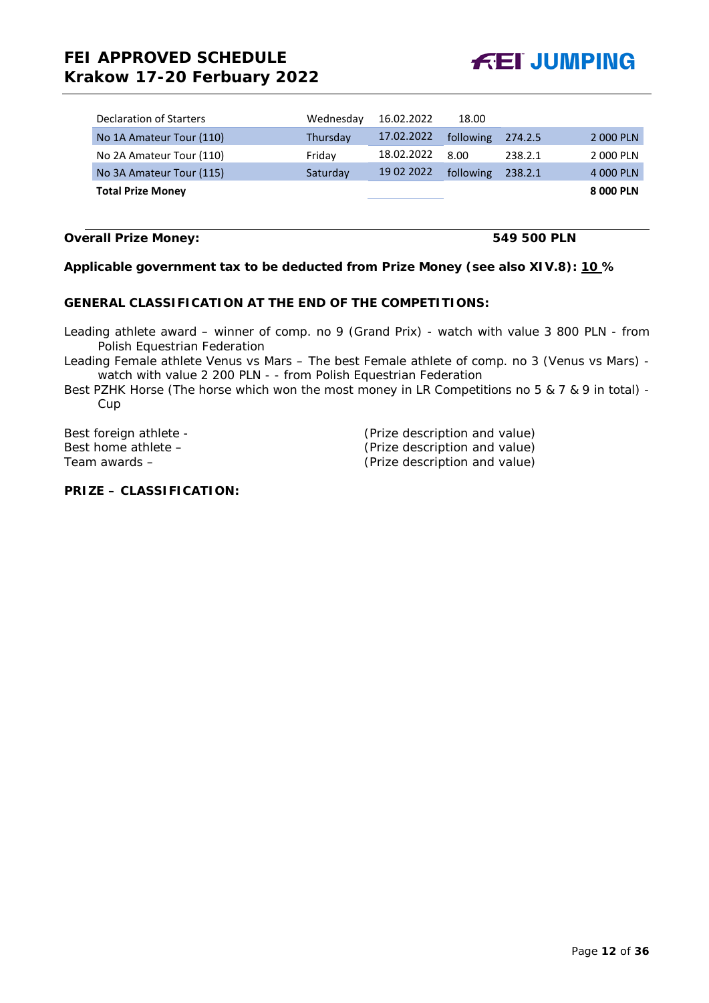# **FEI APPROVED SCHEDULE Krakow 17-20 Ferbuary 2022**



| Declaration of Starters  | Wednesday | 16.02.2022 | 18.00     |         |           |
|--------------------------|-----------|------------|-----------|---------|-----------|
| No 1A Amateur Tour (110) | Thursday  | 17.02.2022 | following | 274.2.5 | 2 000 PLN |
| No 2A Amateur Tour (110) | Friday    | 18.02.2022 | 8.00      | 238.2.1 | 2 000 PLN |
| No 3A Amateur Tour (115) | Saturday  | 19 02 2022 | following | 238.2.1 | 4 000 PLN |
| <b>Total Prize Money</b> |           |            |           |         | 8 000 PLN |

#### **Overall Prize Money: 549 500 PLN**

## **Applicable government tax to be deducted from Prize Money (see also XIV.8): 10 %**

#### **GENERAL CLASSIFICATION AT THE END OF THE COMPETITIONS:**

Leading athlete award – winner of comp. no 9 (Grand Prix) - watch with value 3 800 PLN - from Polish Equestrian Federation

Leading Female athlete Venus vs Mars – The best Female athlete of comp. no 3 (Venus vs Mars) watch with value 2 200 PLN - - from Polish Equestrian Federation

Best PZHK Horse (The horse which won the most money in LR Competitions no 5 & 7 & 9 in total) - Cup

| Best foreign athlete - | (Prize description and value) |
|------------------------|-------------------------------|
| Best home athlete –    | (Prize description and value) |
| Team awards –          | (Prize description and value) |

## **PRIZE – CLASSIFICATION:**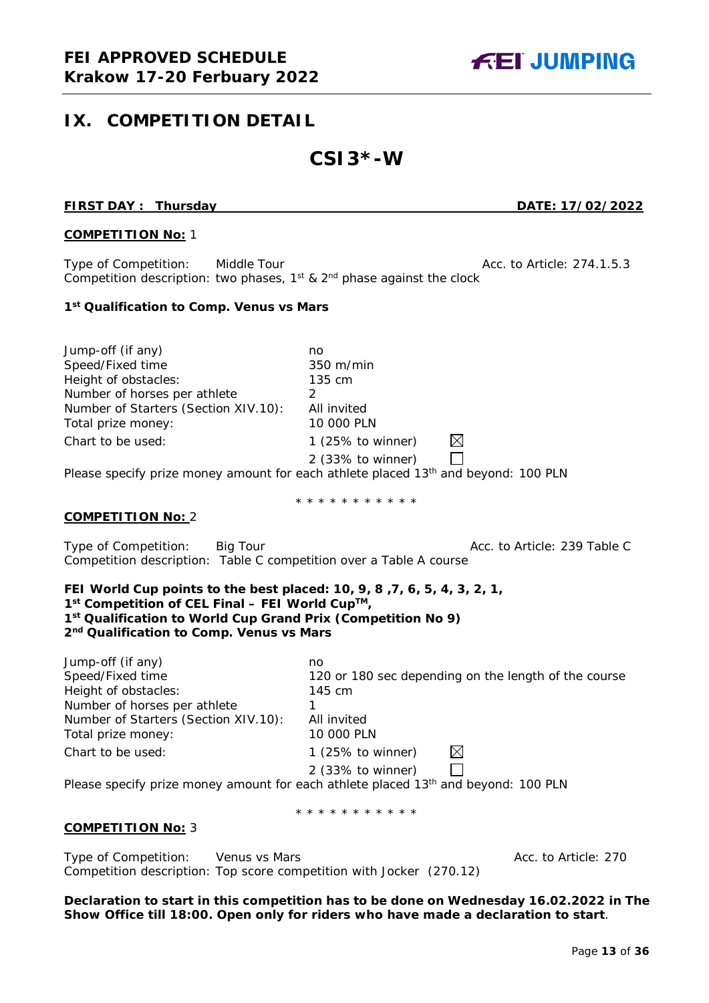# <span id="page-12-0"></span>**IX. COMPETITION DETAIL**

# **CSI3\*-W**

#### **FIRST DAY : Thursday DATE: 17/02/2022**

**FEI JUMPING** 

#### **COMPETITION No:** 1

Type of Competition: Middle Tour Acc. to Article: 274.1.5.3 Competition description: two phases,  $1^{st}$  &  $2^{nd}$  phase against the clock

#### **1st Qualification to Comp. Venus vs Mars**

Jump-off (if any) no Speed/Fixed time 350 m/min Height of obstacles: 135 cm Number of horses per athlete 2 Number of Starters (Section XIV.10): All invited Total prize money: 10 000 PLN  $\boxtimes$ Chart to be used: 1 (25% to winner) 2 (33% to winner)  $\Box$ Please specify prize money amount for each athlete placed 13<sup>th</sup> and beyond: 100 PLN

#### \* \* \* \* \* \* \* \* \* \* \*

#### **COMPETITION No:** 2

Type of Competition: Big Tour Acc. to Article: 239 Table C Competition description: Table C competition over a Table A course

#### **FEI World Cup points to the best placed: 10, 9, 8 ,7, 6, 5, 4, 3, 2, 1, 1st Competition of CEL Final – FEI World CupTM, 1st Qualification to World Cup Grand Prix (Competition No 9) 2nd Qualification to Comp. Venus vs Mars**

| Jump-off (if any)                    | no                                                                                             |
|--------------------------------------|------------------------------------------------------------------------------------------------|
| Speed/Fixed time                     | 120 or 180 sec depending on the length of the course                                           |
| Height of obstacles:                 | 145 cm                                                                                         |
| Number of horses per athlete         |                                                                                                |
| Number of Starters (Section XIV.10): | All invited                                                                                    |
| Total prize money:                   | 10 000 PLN                                                                                     |
| Chart to be used:                    | $\bowtie$<br>1 $(25\%$ to winner)                                                              |
|                                      | 2 (33% to winner)                                                                              |
|                                      | Please specify prize money amount for each athlete placed 13 <sup>th</sup> and beyond: 100 PLN |

\* \* \* \* \* \* \* \* \* \* \*

#### **COMPETITION No:** 3

Type of Competition: Venus vs Mars Acc. to Article: 270 Competition description: Top score competition with Jocker (270.12)

**Declaration to start in this competition has to be done on Wednesday 16.02.2022 in The Show Office till 18:00. Open only for riders who have made a declaration to start**.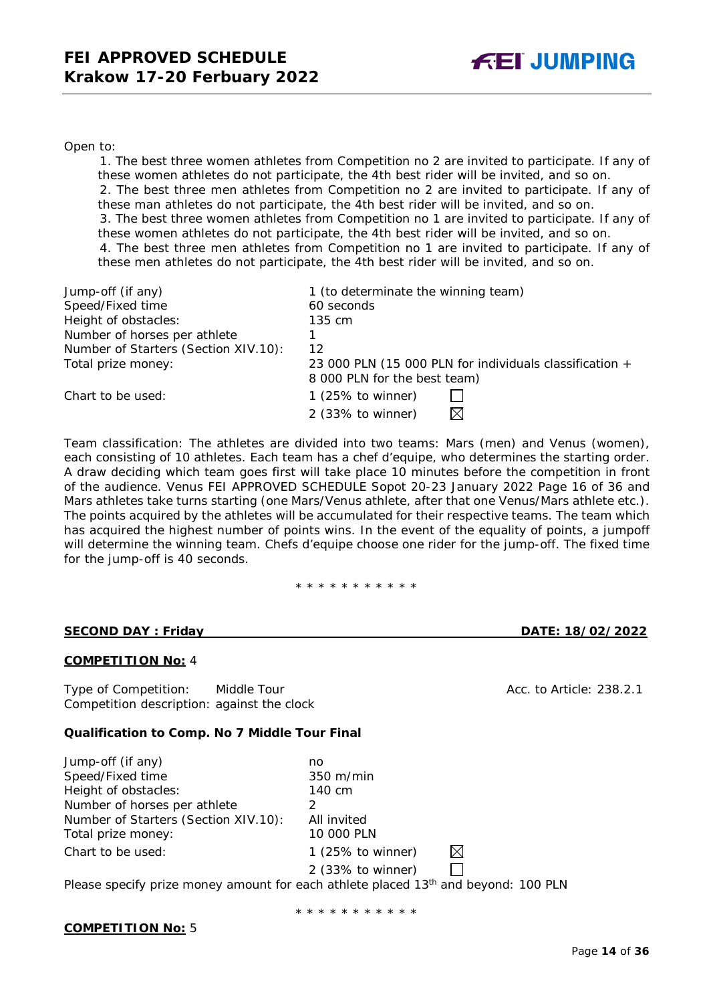#### Open to:

1. The best three women athletes from Competition no 2 are invited to participate. If any of these women athletes do not participate, the 4th best rider will be invited, and so on.

2. The best three men athletes from Competition no 2 are invited to participate. If any of these man athletes do not participate, the 4th best rider will be invited, and so on.

3. The best three women athletes from Competition no 1 are invited to participate. If any of these women athletes do not participate, the 4th best rider will be invited, and so on.

4. The best three men athletes from Competition no 1 are invited to participate. If any of these men athletes do not participate, the 4th best rider will be invited, and so on.

| Jump-off (if any)                    | 1 (to determinate the winning team)                     |
|--------------------------------------|---------------------------------------------------------|
| Speed/Fixed time                     | 60 seconds                                              |
| Height of obstacles:                 | 135 cm                                                  |
| Number of horses per athlete         |                                                         |
| Number of Starters (Section XIV.10): | 12                                                      |
| Total prize money:                   | 23 000 PLN (15 000 PLN for individuals classification + |
|                                      | 8 000 PLN for the best team)                            |
| Chart to be used:                    | 1 $(25\% \text{ to winner})$                            |
|                                      | 2 (33% to winner)<br>$\bowtie$                          |

Team classification: The athletes are divided into two teams: Mars (men) and Venus (women), each consisting of 10 athletes. Each team has a chef d'equipe, who determines the starting order. A draw deciding which team goes first will take place 10 minutes before the competition in front of the audience. Venus FEI APPROVED SCHEDULE Sopot 20-23 January 2022 Page 16 of 36 and Mars athletes take turns starting (one Mars/Venus athlete, after that one Venus/Mars athlete etc.). The points acquired by the athletes will be accumulated for their respective teams. The team which has acquired the highest number of points wins. In the event of the equality of points, a jumpoff will determine the winning team. Chefs d'equipe choose one rider for the jump-off. The fixed time for the jump-off is 40 seconds.

\* \* \* \* \* \* \* \* \* \* \*

#### **SECOND DAY : Friday DATE: 18/02/2022**

## **COMPETITION No:** 4

Type of Competition: Middle Tour Acc. to Article: 238.2.1 Competition description: against the clock

#### **Qualification to Comp. No 7 Middle Tour Final**

| Jump-off (if any)                    | no                  |   |  |
|--------------------------------------|---------------------|---|--|
| Speed/Fixed time                     | $350 \text{ m/min}$ |   |  |
| Height of obstacles:                 | 140 cm              |   |  |
| Number of horses per athlete         |                     |   |  |
| Number of Starters (Section XIV.10): | All invited         |   |  |
| Total prize money:                   | 10 000 PLN          |   |  |
| Chart to be used:                    | 1 (25% to winner)   | ⊠ |  |
|                                      | 2 (33% to winner)   |   |  |

Please specify prize money amount for each athlete placed 13<sup>th</sup> and beyond: 100 PLN

\* \* \* \* \* \* \* \* \* \*

#### **COMPETITION No:** 5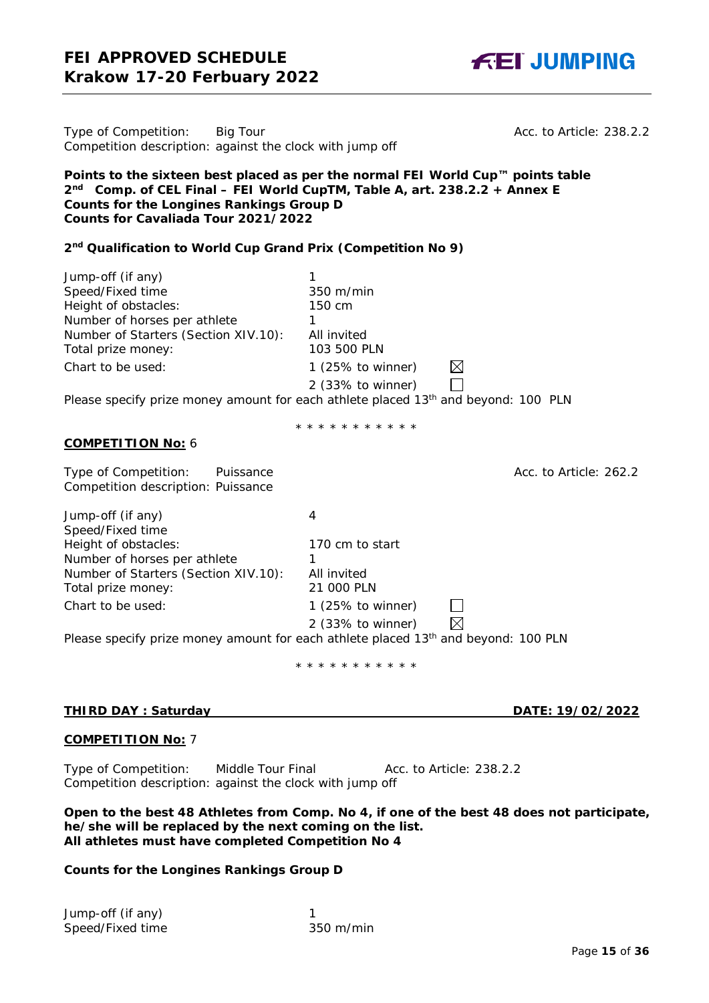Acc. to Article: 238.2.2

| Type of Competition: | Big Tour                                                 |
|----------------------|----------------------------------------------------------|
|                      | Competition description: against the clock with jump off |

**Points to the sixteen best placed as per the normal FEI World Cup™ points table 2nd Comp. of CEL Final – FEI World CupTM, Table A, art. 238.2.2 + Annex E Counts for the Longines Rankings Group D Counts for Cavaliada Tour 2021/2022**

#### **2nd Qualification to World Cup Grand Prix (Competition No 9)**

| Jump-off (if any)                    |                                                                                                |
|--------------------------------------|------------------------------------------------------------------------------------------------|
| Speed/Fixed time                     | 350 m/min                                                                                      |
| Height of obstacles:                 | 150 cm                                                                                         |
| Number of horses per athlete         |                                                                                                |
| Number of Starters (Section XIV.10): | All invited                                                                                    |
| Total prize money:                   | 103 500 PLN                                                                                    |
| Chart to be used:                    | $\boxtimes$<br>1 $(25\% \text{ to winner})$                                                    |
|                                      | 2 (33% to winner)                                                                              |
|                                      | Please specify prize money amount for each athlete placed 13 <sup>th</sup> and beyond: 100 PLN |

\* \* \* \* \* \* \* \* \* \*

#### **COMPETITION No:** 6

Type of Competition: Puissance **Acc. to Article: 262.2** Acc. to Article: 262.2 Competition description: Puissance

Jump-off (if any) 4 Speed/Fixed time Height of obstacles: 170 cm to start Number of horses per athlete 1 Number of Starters (Section XIV.10): All invited Total prize money: 21 000 PLN Chart to be used: 1 (25% to winner)  $\Box$  $\boxtimes$ 2 (33% to winner) Please specify prize money amount for each athlete placed 13<sup>th</sup> and beyond: 100 PLN

\* \* \* \* \* \* \* \* \* \* \*

## **THIRD DAY : Saturday DATE: 19/02/2022**

## **COMPETITION No:** 7

Type of Competition: Middle Tour Final Acc. to Article: 238.2.2 Competition description: against the clock with jump off

#### **Open to the best 48 Athletes from Comp. No 4, if one of the best 48 does not participate, he/she will be replaced by the next coming on the list. All athletes must have completed Competition No 4**

## **Counts for the Longines Rankings Group D**

Jump-off (if any) 1 Speed/Fixed time 350 m/min



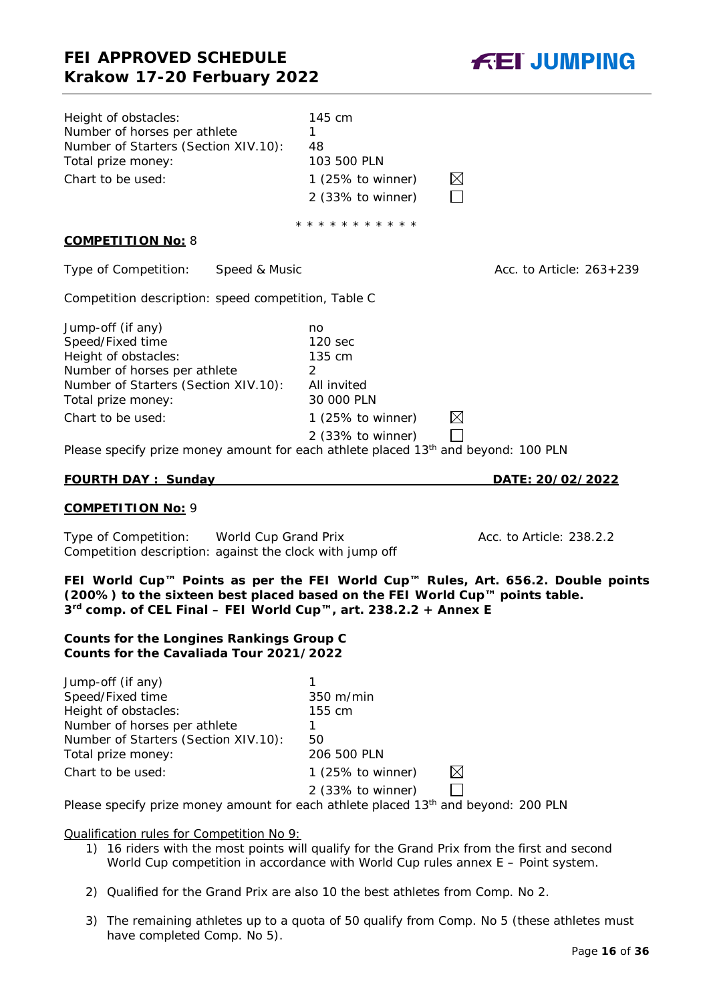

| Height of obstacles:<br>Number of horses per athlete<br>Number of Starters (Section XIV.10):<br>Total prize money:<br>Chart to be used:                                                                                                                                            | 145 cm<br>1.<br>48<br>103 500 PLN<br>1 $(25\% \text{ to winner})$<br>2 (33% to winner)              | $\boxtimes$              |
|------------------------------------------------------------------------------------------------------------------------------------------------------------------------------------------------------------------------------------------------------------------------------------|-----------------------------------------------------------------------------------------------------|--------------------------|
|                                                                                                                                                                                                                                                                                    | * * * * * * * * * * *                                                                               |                          |
| <b>COMPETITION No: 8</b>                                                                                                                                                                                                                                                           |                                                                                                     |                          |
| Type of Competition:<br>Speed & Music                                                                                                                                                                                                                                              |                                                                                                     | Acc. to Article: 263+239 |
| Competition description: speed competition, Table C                                                                                                                                                                                                                                |                                                                                                     |                          |
| Jump-off (if any)<br>Speed/Fixed time<br>Height of obstacles:<br>Number of horses per athlete<br>Number of Starters (Section XIV.10):<br>Total prize money:<br>Chart to be used:<br>Please specify prize money amount for each athlete placed 13 <sup>th</sup> and beyond: 100 PLN | no<br>120 sec<br>135 cm<br>2<br>All invited<br>30 000 PLN<br>1 (25% to winner)<br>2 (33% to winner) | $\boxtimes$              |
| <b>FOURTH DAY: Sunday</b>                                                                                                                                                                                                                                                          |                                                                                                     | DATE: 20/02/2022         |
| <b>COMPETITION No: 9</b>                                                                                                                                                                                                                                                           |                                                                                                     |                          |
| Type of Competition: World Cup Grand Prix<br>Competition description: against the clock with jump off                                                                                                                                                                              |                                                                                                     | Acc. to Article: 238.2.2 |
| FEI World Cup™ Points as per the FEI World Cup™ Rules, Art. 656.2. Double points<br>(200%) to the sixteen best placed based on the FEI World Cup™ points table.<br>3 <sup>rd</sup> comp. of CEL Final – FEI World Cup™, art. 238.2.2 + Annex E                                     |                                                                                                     |                          |
| <b>Counts for the Longines Rankings Group C</b><br>Counts for the Cavaliada Tour 2021/2022                                                                                                                                                                                         |                                                                                                     |                          |
| Jump-off (if any)<br>Speed/Fixed time<br>Height of obstacles:<br>Number of horses per athlete<br>Number of Starters (Section XIV.10):<br>Total prize money:                                                                                                                        | 1<br>350 m/min<br>155 cm<br>1.<br>50                                                                |                          |
| Chart to be used:<br>Please specify prize money amount for each athlete placed 13 <sup>th</sup> and beyond: 200 PLN                                                                                                                                                                | 206 500 PLN<br>1 (25% to winner)<br>2 (33% to winner)                                               | $\boxtimes$              |

- 2) Qualified for the Grand Prix are also 10 the best athletes from Comp. No 2.
- 3) The remaining athletes up to a quota of 50 qualify from Comp. No 5 (these athletes must have completed Comp. No 5).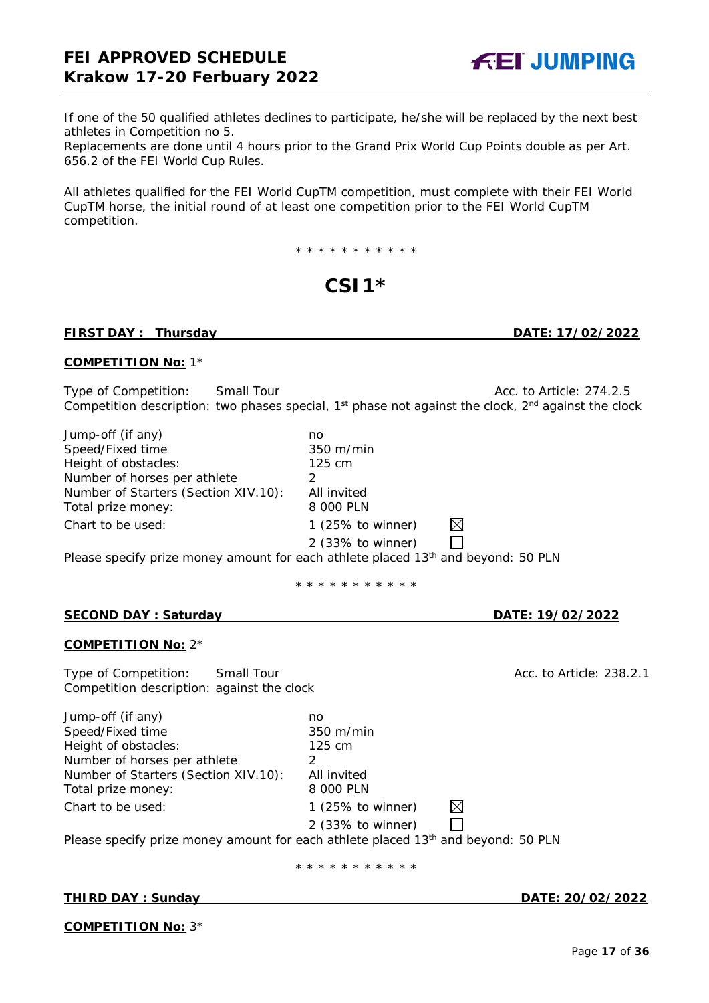**FEI JUMPING** 

If one of the 50 qualified athletes declines to participate, he/she will be replaced by the next best athletes in Competition no 5.

Replacements are done until 4 hours prior to the Grand Prix World Cup Points double as per Art. 656.2 of the FEI World Cup Rules.

All athletes qualified for the FEI World CupTM competition, must complete with their FEI World CupTM horse, the initial round of at least one competition prior to the FEI World CupTM competition.

\* \* \* \* \* \* \* \* \* \* \*

# **CSI1\***

## **FIRST DAY : Thursday DATE: 17/02/2022**

## **COMPETITION No:** 1\*

Type of Competition: Small Tour Acc. to Article: 274.2.5 Competition description: two phases special, 1<sup>st</sup> phase not against the clock, 2<sup>nd</sup> against the clock

| Jump-off (if any)                    | no                    |             |  |
|--------------------------------------|-----------------------|-------------|--|
| Speed/Fixed time                     | $350 \; \text{m/min}$ |             |  |
| Height of obstacles:                 | $125 \text{ cm}$      |             |  |
| Number of horses per athlete         |                       |             |  |
| Number of Starters (Section XIV.10): | All invited           |             |  |
| Total prize money:                   | 8 000 PLN             |             |  |
| Chart to be used:                    | 1 (25% to winner)     | $\boxtimes$ |  |
|                                      | 2 (33% to winner)     |             |  |

Please specify prize money amount for each athlete placed 13<sup>th</sup> and beyond: 50 PLN

\* \* \* \* \* \* \* \* \* \* \*

#### **SECOND DAY : Saturday DATE: 19/02/2022**

#### **COMPETITION No:** 2\*

Type of Competition: Small Tour Acc. to Article: 238.2.1 Competition description: against the clock

Jump-off (if any) no Speed/Fixed time 350 m/min Height of obstacles: 125 cm Number of horses per athlete 2 Number of Starters (Section XIV.10): All invited Total prize money: 8 000 PLN Chart to be used: 1 (25% to winner)

2 (33% to winner)

 $\boxtimes$  $\Box$ 

Please specify prize money amount for each athlete placed 13<sup>th</sup> and beyond: 50 PLN

\* \* \* \* \* \* \* \* \* \* \*

#### **THIRD DAY : Sunday DATE: 20/02/2022**

**COMPETITION No:** 3\*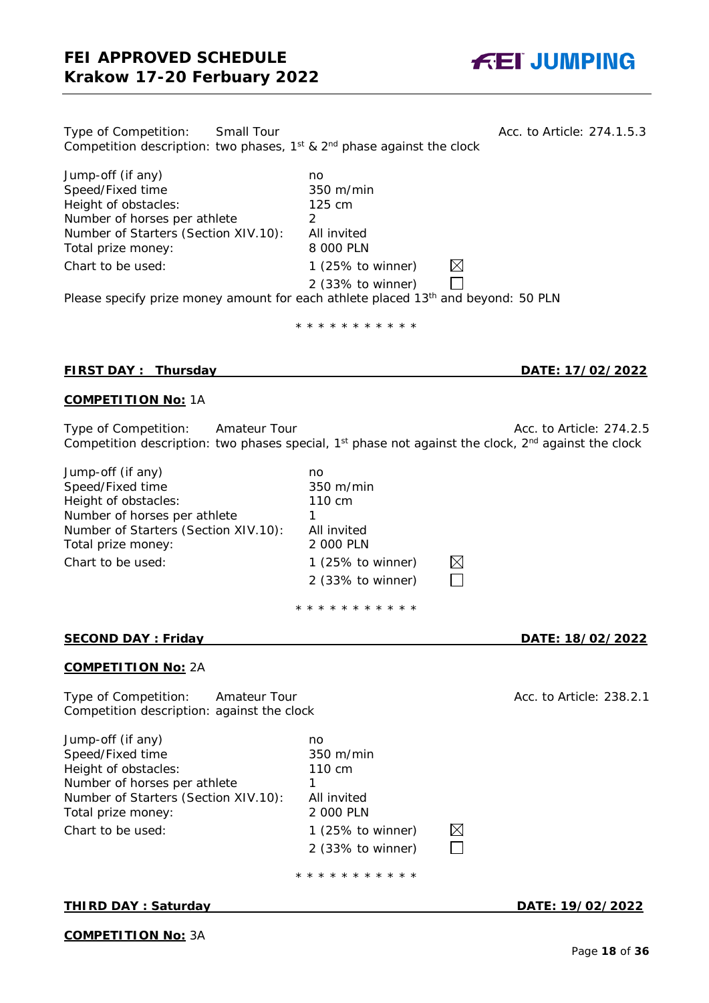

| Type of Competition:<br>Small Tour<br>Competition description: two phases, $1^{st}$ & $2^{nd}$ phase against the clock |                                     | Acc. to Article: 274.1.5.3 |
|------------------------------------------------------------------------------------------------------------------------|-------------------------------------|----------------------------|
| Jump-off (if any)                                                                                                      | no.                                 |                            |
| Speed/Fixed time                                                                                                       | $350 \text{ m/min}$                 |                            |
| Height of obstacles:                                                                                                   | 125 cm                              |                            |
| Number of horses per athlete                                                                                           | 2                                   |                            |
| Number of Starters (Section XIV.10):                                                                                   | All invited                         |                            |
| Total prize money:                                                                                                     | 8 000 PLN                           |                            |
| Chart to be used:                                                                                                      | $\boxtimes$<br>1 $(25\%$ to winner) |                            |
|                                                                                                                        | $2$ (33% to winner)                 |                            |
| Please specify prize money amount for each athlete placed 13 <sup>th</sup> and beyond: 50 PLN                          |                                     |                            |

\* \* \* \* \* \* \* \* \* \* \*

#### **FIRST DAY : Thursday DATE: 17/02/2022**

#### **COMPETITION No:** 1A

Type of Competition: Amateur Tour Acc. to Article: 274.2.5 Competition description: two phases special, 1<sup>st</sup> phase not against the clock, 2<sup>nd</sup> against the clock

Jump-off (if any) no Speed/Fixed time 350 m/min Height of obstacles: 110 cm Number of horses per athlete 1 Number of Starters (Section XIV.10): All invited Total prize money: 2 000 PLN Chart to be used: 1 (25% to winner)

2 (33% to winner) \* \* \* \* \* \* \* \* \* \* \*

 $\boxtimes$  $\Box$ 

⊠  $\Box$ 

#### **SECOND DAY : Friday DATE: 18/02/2022**

#### **COMPETITION No:** 2A

Type of Competition: Amateur Tour Acc. to Article: 238.2.1 Competition description: against the clock

Jump-off (if any) no<br>Speed/Fixed time no and 350 m/min Speed/Fixed time Height of obstacles: 110 cm Number of horses per athlete 1 Number of Starters (Section XIV.10): Total prize money: Chart to be used:

| All invited       |
|-------------------|
| 2 000 PLN         |
| 1 (25% to winner) |
| 2 (33% to winner) |

\* \* \* \* \* \* \* \* \* \* \*

#### **THIRD DAY : Saturday DATE: 19/02/2022**

#### **COMPETITION No:** 3A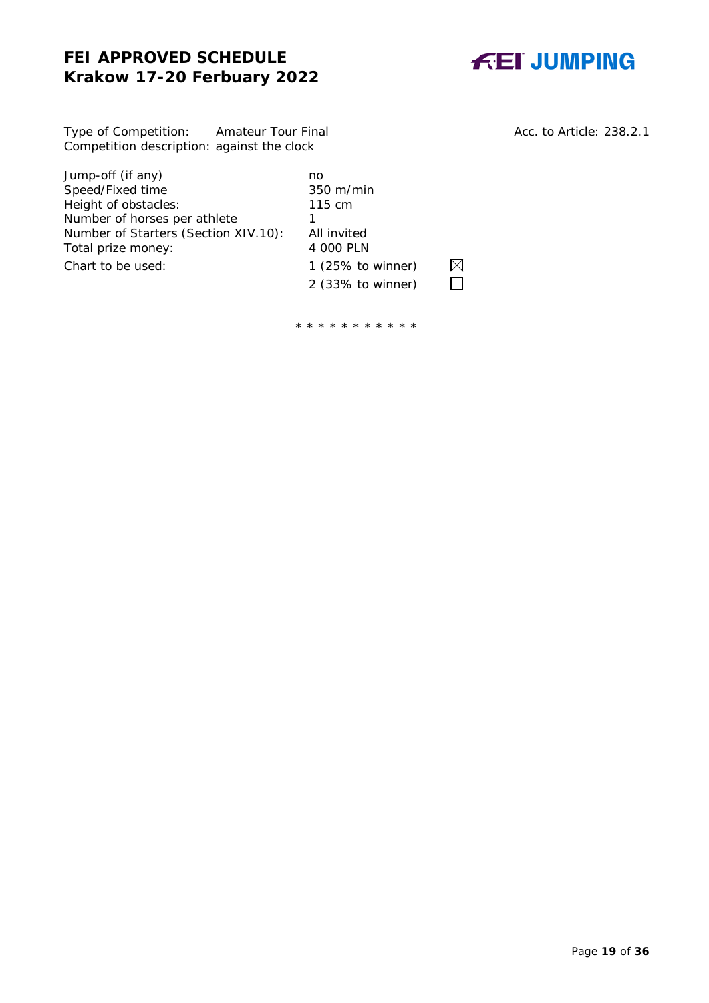

Type of Competition: Amateur Tour Final Acc. to Article: 238.2.1 Competition description: against the clock

Jump-off (if any)<br>
Speed/Fixed time<br>
350 m/min Speed/Fixed time 350 m/r<br>
Height of obstacles: 115 cm Height of obstacles: 115 eight of obstacles: 115 cm athlete 1 Number of horses per athlete 1<br>Number of Starters (Section XIV.10): All invited Number of Starters (Section XIV.10): All invited<br>Total prize money: 4 000 PLN Total prize money: Chart to be used: 1 (25% to winner)

2 (33% to winner)

 $\boxtimes$  $\Box$ 

\* \* \* \* \* \* \* \* \* \* \*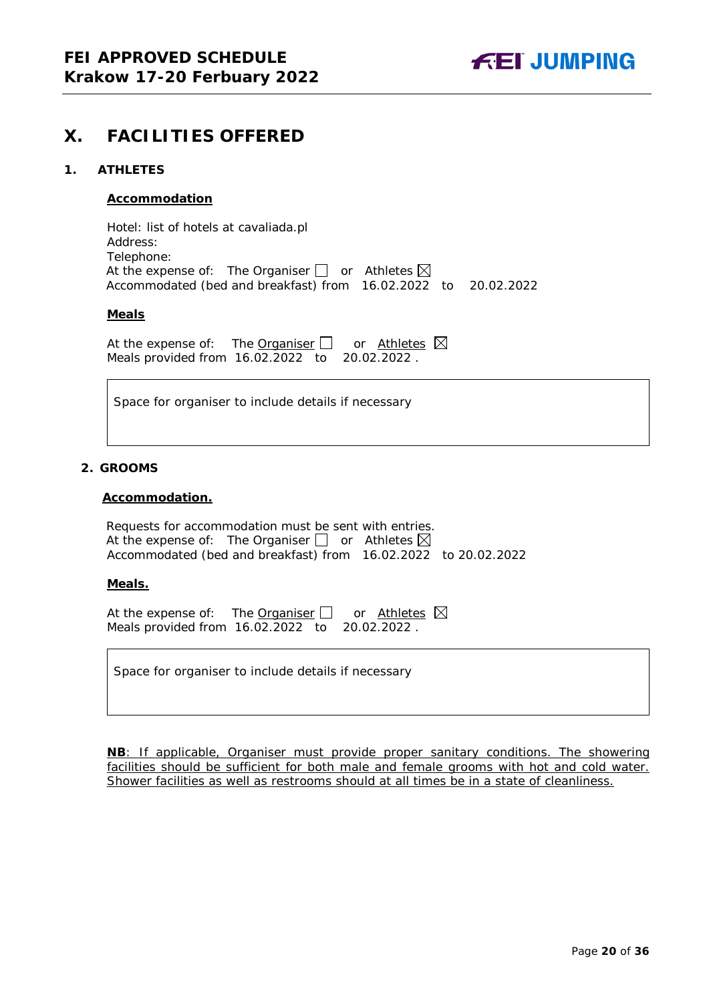

# <span id="page-19-0"></span>**X. FACILITIES OFFERED**

#### <span id="page-19-1"></span>**1. ATHLETES**

#### **Accommodation**

Hotel: list of hotels at cavaliada.pl Address: Telephone: At the expense of: The Organiser  $\Box$  or Athletes  $\boxtimes$ Accommodated (bed and breakfast) from 16.02.2022 to 20.02.2022

#### **Meals**

At the expense of: The Organiser  $\Box$  or Athletes  $\boxtimes$ Meals provided from 16.02.2022 to 20.02.2022 .

Space for organiser to include details if necessary

#### <span id="page-19-2"></span>**2. GROOMS**

#### **Accommodation.**

Requests for accommodation must be sent with entries. At the expense of: The Organiser  $\bigsqcup$  or Athletes Accommodated (bed and breakfast) from 16.02.2022 to 20.02.2022

#### **Meals.**

At the expense of: The Organiser  $\Box$  or Athletes  $\boxtimes$ Meals provided from 16.02.2022 to 20.02.2022 .

Space for organiser to include details if necessary

**NB**: If applicable, Organiser must provide proper sanitary conditions. The showering facilities should be sufficient for both male and female grooms with hot and cold water. Shower facilities as well as restrooms should at all times be in a state of cleanliness.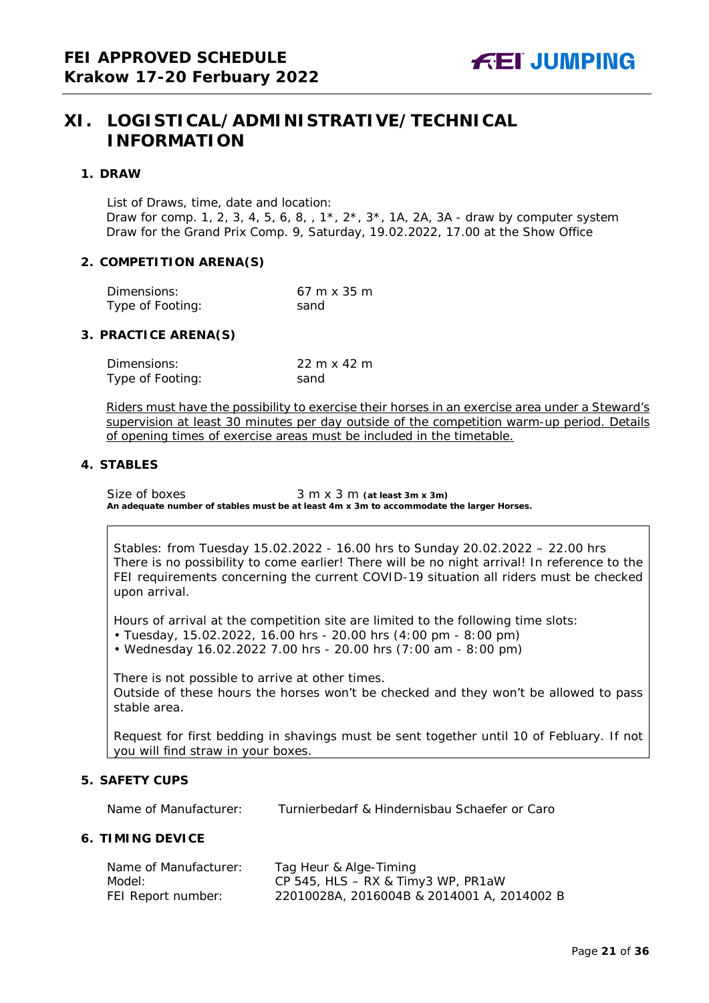# <span id="page-20-0"></span>**XI. LOGISTICAL/ADMINISTRATIVE/TECHNICAL INFORMATION**

#### <span id="page-20-1"></span>**1. DRAW**

List of Draws, time, date and location: Draw for comp. 1, 2, 3, 4, 5, 6, 8,  $, 1^*, 2^*, 3^*, 1A, 2A, 3A$  - draw by computer system Draw for the Grand Prix Comp. 9, Saturday, 19.02.2022, 17.00 at the Show Office

#### <span id="page-20-2"></span>**2. COMPETITION ARENA(S)**

| Dimensions:      | $67 \text{ m} \times 35 \text{ m}$ |
|------------------|------------------------------------|
| Type of Footing: | sand                               |

#### <span id="page-20-3"></span>**3. PRACTICE ARENA(S)**

| Dimensions:      | $22 \text{ m} \times 42 \text{ m}$ |
|------------------|------------------------------------|
| Type of Footing: | sand                               |

Riders must have the possibility to exercise their horses in an exercise area under a Steward's supervision at least 30 minutes per day outside of the competition warm-up period. Details of opening times of exercise areas must be included in the timetable.

#### <span id="page-20-4"></span>**4. STABLES**

Size of boxes 3 m x 3 m (at least 3m x 3m) **An adequate number of stables must be at least 4m x 3m to accommodate the larger Horses.**

Stables: from Tuesday 15.02.2022 - 16.00 hrs to Sunday 20.02.2022 – 22.00 hrs There is no possibility to come earlier! There will be no night arrival! In reference to the FEI requirements concerning the current COVID-19 situation all riders must be checked upon arrival.

Hours of arrival at the competition site are limited to the following time slots: • Tuesday, 15.02.2022, 16.00 hrs - 20.00 hrs (4:00 pm - 8:00 pm) • Wednesday 16.02.2022 7.00 hrs - 20.00 hrs (7:00 am - 8:00 pm)

There is not possible to arrive at other times. Outside of these hours the horses won't be checked and they won't be allowed to pass stable area.

Request for first bedding in shavings must be sent together until 10 of Febluary. If not you will find straw in your boxes.

#### <span id="page-20-5"></span>**5. SAFETY CUPS**

Name of Manufacturer: Turnierbedarf & Hindernisbau Schaefer or Caro

#### <span id="page-20-6"></span>**6. TIMING DEVICE**

| Name of Manufacturer: | Tag Heur & Alge-Timing                     |
|-----------------------|--------------------------------------------|
| Model:                | CP 545, $HLS - RX & Timy3 WP$ , $PR1aw$    |
| FEI Report number:    | 22010028A, 2016004B & 2014001 A, 2014002 B |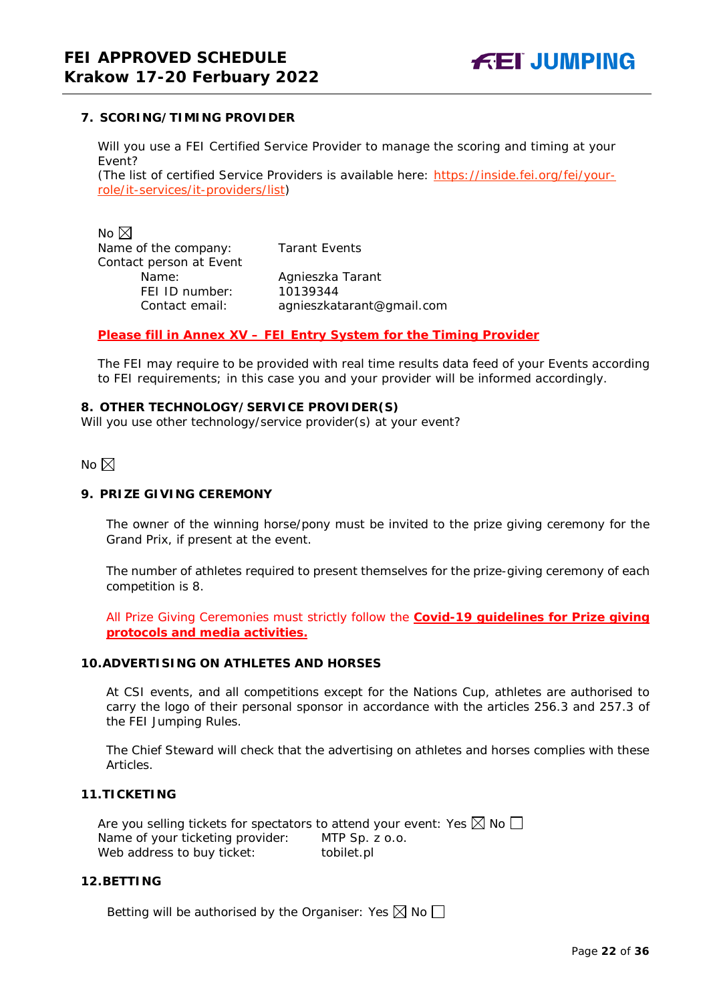## <span id="page-21-0"></span>**7. SCORING/TIMING PROVIDER**

Will you use a FEI Certified Service Provider to manage the scoring and timing at your Event?

*(The list of certified Service Providers is available here:* [https://inside.fei.org/fei/your](https://inside.fei.org/fei/your-role/it-services/it-providers/list)[role/it-services/it-providers/list](https://inside.fei.org/fei/your-role/it-services/it-providers/list)*)*

No  $\boxtimes$ Name of the company: Tarant Events Contact person at Event FEI ID number: 10139344<br>Contact email: agnieszka

Name: Agnieszka Tarant Contact email: *agnieszkatarant@gmail.com*

#### *Please fill in Annex XV – FEI Entry System for the Timing Provider*

The FEI may require to be provided with real time results data feed of your Events according to FEI requirements; in this case you and your provider will be informed accordingly.

#### <span id="page-21-1"></span>**8. OTHER TECHNOLOGY/SERVICE PROVIDER(S)**

Will you use other technology/service provider(s) at your event?

 $No \boxtimes$ 

## <span id="page-21-2"></span>**9. PRIZE GIVING CEREMONY**

The owner of the winning horse/pony must be invited to the prize giving ceremony for the Grand Prix, if present at the event.

The number of athletes required to present themselves for the prize-giving ceremony of each competition is 8.

All Prize Giving Ceremonies must strictly follow the **Covid-19 guidelines for Prize giving protocols and media activities.**

#### <span id="page-21-3"></span>**10.ADVERTISING ON ATHLETES AND HORSES**

At CSI events, and all competitions except for the Nations Cup, athletes are authorised to carry the logo of their personal sponsor in accordance with the articles 256.3 and 257.3 of the FEI Jumping Rules.

The Chief Steward will check that the advertising on athletes and horses complies with these Articles.

## <span id="page-21-4"></span>**11.TICKETING**

Are you selling tickets for spectators to attend your event: Yes  $\boxtimes$  No  $\Box$ Name of your ticketing provider: MTP Sp. z o.o. Web address to buy ticket: tobilet.pl

## <span id="page-21-5"></span>**12.BETTING**

Betting will be authorised by the Organiser: Yes  $\boxtimes$  No  $\Box$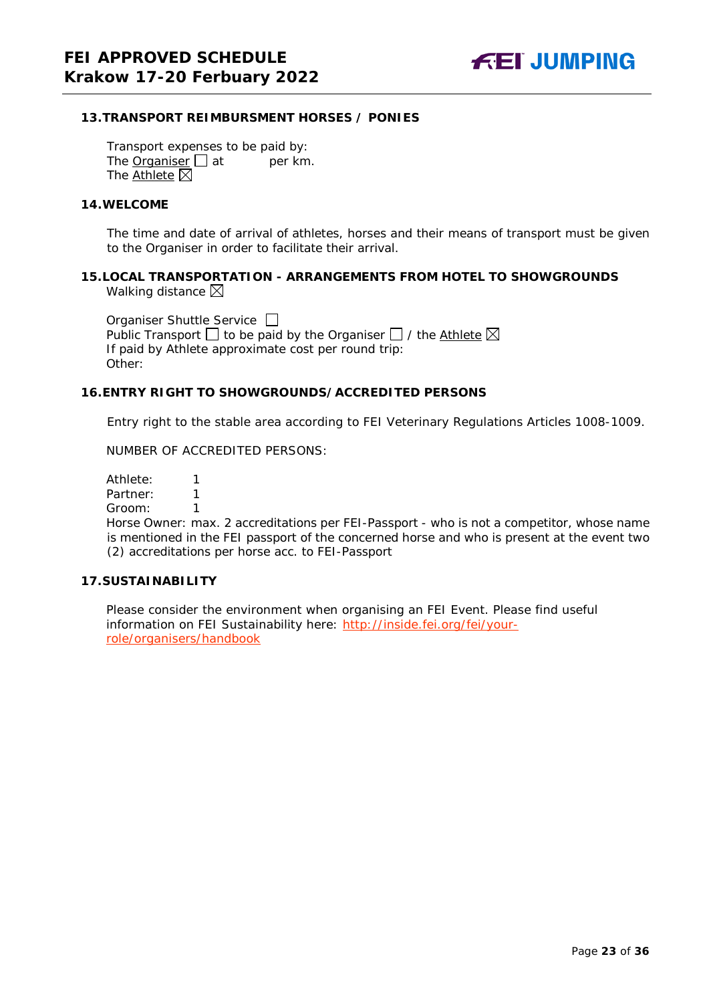## <span id="page-22-0"></span>**13.TRANSPORT REIMBURSMENT HORSES / PONIES**

Transport expenses to be paid by: The **Organiser**  $\Box$  at per km. The Athlete  $\boxtimes$ 

#### <span id="page-22-1"></span>**14.WELCOME**

The time and date of arrival of athletes, horses and their means of transport must be given to the Organiser in order to facilitate their arrival.

#### <span id="page-22-2"></span>**15.LOCAL TRANSPORTATION - ARRANGEMENTS FROM HOTEL TO SHOWGROUNDS** Walking distance  $\boxtimes$

Organiser Shuttle Service  $\Box$ Public Transport  $\Box$  to be paid by the Organiser  $\Box$  / the Athlete  $\boxtimes$ If paid by Athlete approximate cost per round trip: Other:

#### <span id="page-22-3"></span>**16.ENTRY RIGHT TO SHOWGROUNDS/ACCREDITED PERSONS**

Entry right to the stable area according to FEI Veterinary Regulations Articles 1008-1009.

NUMBER OF ACCREDITED PERSONS:

Athlete: 1 Partner: 1

Groom: 1

Horse Owner: max. 2 accreditations per FEI-Passport - who is not a competitor, whose name is mentioned in the FEI passport of the concerned horse and who is present at the event two (2) accreditations per horse acc. to FEI-Passport

## <span id="page-22-4"></span>**17.SUSTAINABILITY**

Please consider the environment when organising an FEI Event. Please find useful information on FEI Sustainability here: [http://inside.fei.org/fei/your](http://inside.fei.org/fei/your-role/organisers/handbook)[role/organisers/handbook](http://inside.fei.org/fei/your-role/organisers/handbook)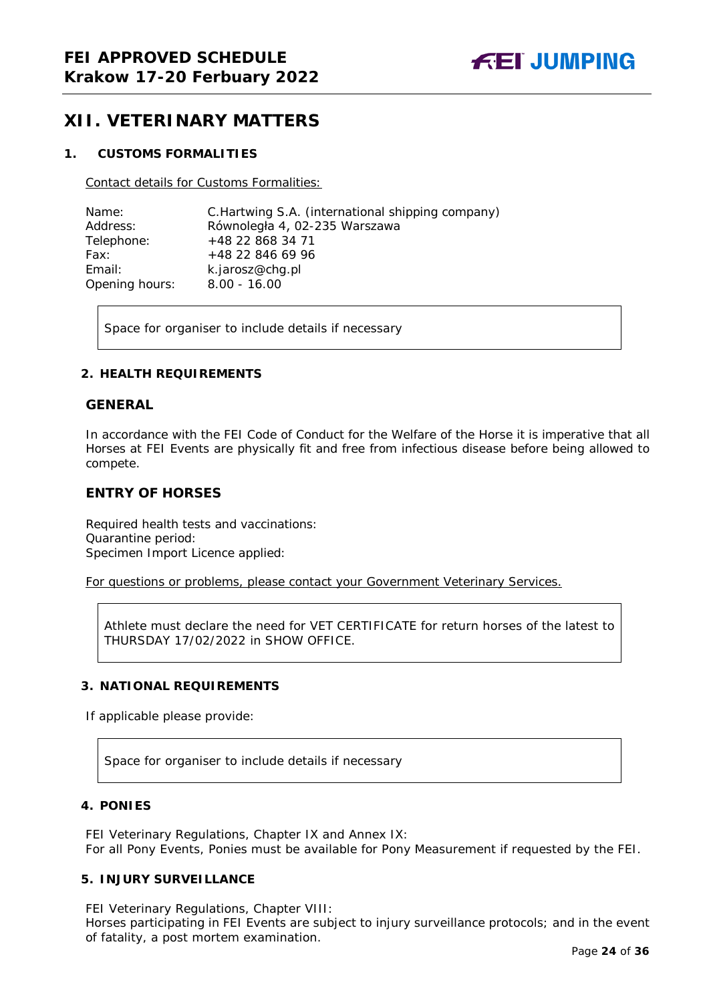# <span id="page-23-0"></span>**XII. VETERINARY MATTERS**

## <span id="page-23-1"></span>**1. CUSTOMS FORMALITIES**

Contact details for Customs Formalities:

| Name:          | C. Hartwing S.A. (international shipping company) |
|----------------|---------------------------------------------------|
| Address:       | Równoległa 4, 02-235 Warszawa                     |
| Telephone:     | +48 22 868 34 71                                  |
| Fax:           | +48 22 846 69 96                                  |
| Email:         | k.jarosz@chg.pl                                   |
| Opening hours: | $8.00 - 16.00$                                    |

Space for organiser to include details if necessary

#### <span id="page-23-2"></span>**2. HEALTH REQUIREMENTS**

#### **GENERAL**

In accordance with the FEI Code of Conduct for the Welfare of the Horse it is imperative that all Horses at FEI Events are physically fit and free from infectious disease before being allowed to compete.

## **ENTRY OF HORSES**

Required health tests and vaccinations: Quarantine period: Specimen Import Licence applied:

For questions or problems, please contact your Government Veterinary Services.

Athlete must declare the need for VET CERTIFICATE for return horses of the latest to THURSDAY 17/02/2022 in SHOW OFFICE.

## <span id="page-23-3"></span>**3. NATIONAL REQUIREMENTS**

If applicable please provide:

Space for organiser to include details if necessary

## <span id="page-23-4"></span>**4. PONIES**

FEI Veterinary Regulations, Chapter IX and Annex IX: For all Pony Events, Ponies must be available for Pony Measurement if requested by the FEI.

#### <span id="page-23-5"></span>**5. INJURY SURVEILLANCE**

FEI Veterinary Regulations, Chapter VIII:

Horses participating in FEI Events are subject to injury surveillance protocols; and in the event of fatality, a post mortem examination.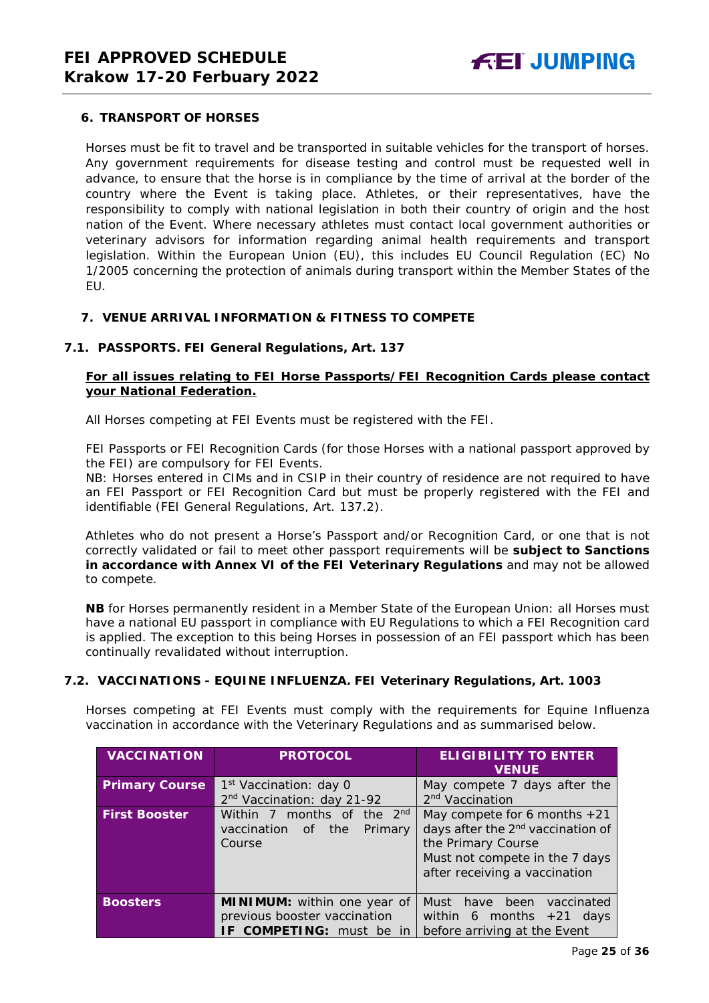## <span id="page-24-0"></span>**6. TRANSPORT OF HORSES**

Horses must be fit to travel and be transported in suitable vehicles for the transport of horses. Any government requirements for disease testing and control must be requested well in advance, to ensure that the horse is in compliance by the time of arrival at the border of the country where the Event is taking place. Athletes, or their representatives, have the responsibility to comply with national legislation in both their country of origin and the host nation of the Event. Where necessary athletes must contact local government authorities or veterinary advisors for information regarding animal health requirements and transport legislation. Within the European Union (EU), this includes EU Council Regulation (EC) No 1/2005 concerning the protection of animals during transport within the Member States of the EU.

#### <span id="page-24-1"></span>**7. VENUE ARRIVAL INFORMATION & FITNESS TO COMPETE**

#### **7.1. PASSPORTS. FEI General Regulations, Art. 137**

## **For all issues relating to FEI Horse Passports/FEI Recognition Cards please contact your National Federation.**

All Horses competing at FEI Events must be registered with the FEI.

FEI Passports or FEI Recognition Cards (for those Horses with a national passport approved by the FEI) are compulsory for FEI Events.

NB: Horses entered in CIMs and in CSIP in their country of residence are not required to have an FEI Passport or FEI Recognition Card but must be properly registered with the FEI and identifiable (FEI General Regulations, Art. 137.2).

Athletes who do not present a Horse's Passport and/or Recognition Card, or one that is not correctly validated or fail to meet other passport requirements will be **subject to Sanctions in accordance with Annex VI of the FEI Veterinary Regulations** and may not be allowed to compete.

**NB** for Horses permanently resident in a Member State of the European Union: all Horses must have a national EU passport in compliance with EU Regulations to which a FEI Recognition card is applied. The exception to this being Horses in possession of an FEI passport which has been continually revalidated without interruption.

#### **7.2. VACCINATIONS - EQUINE INFLUENZA. FEI Veterinary Regulations, Art. 1003**

Horses competing at FEI Events must comply with the requirements for Equine Influenza vaccination in accordance with the Veterinary Regulations and as summarised below.

| <b>VACCINATION</b>    | <b>PROTOCOL</b>                        | <b>ELIGIBILITY TO ENTER</b><br><b>VENUE</b>   |
|-----------------------|----------------------------------------|-----------------------------------------------|
| <b>Primary Course</b> | 1 <sup>st</sup> Vaccination: day 0     | May compete 7 days after the                  |
|                       | 2 <sup>nd</sup> Vaccination: day 21-92 | 2 <sup>nd</sup> Vaccination                   |
| <b>First Booster</b>  | Within 7 months of the 2nd             | May compete for 6 months $+21$                |
|                       | vaccination<br>the<br>Primary<br>of    | days after the 2 <sup>nd</sup> vaccination of |
|                       | Course                                 | the Primary Course                            |
|                       |                                        | Must not compete in the 7 days                |
|                       |                                        | after receiving a vaccination                 |
|                       |                                        |                                               |
| <b>Boosters</b>       | MINIMUM: within one year of            | Must<br>been<br>have<br>vaccinated            |
|                       | previous booster vaccination           | within 6 months $+21$ days                    |
|                       | IF COMPETING: must be in               | before arriving at the Event                  |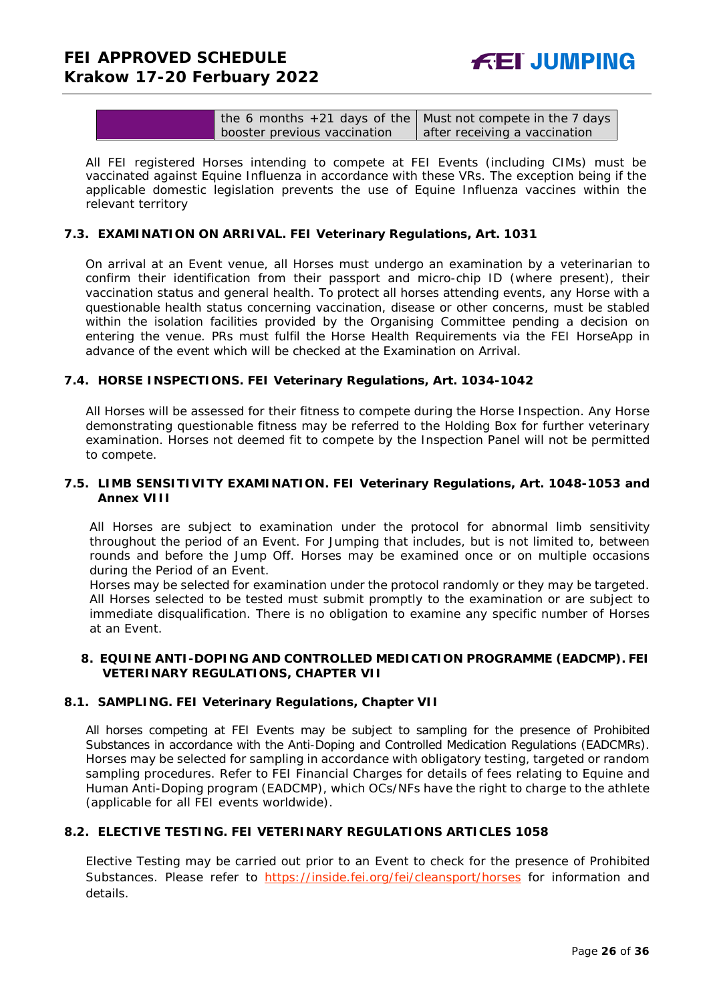| the 6 months $+21$ days of the   Must not compete in the 7 days |                               |
|-----------------------------------------------------------------|-------------------------------|
| booster previous vaccination                                    | after receiving a vaccination |

All FEI registered Horses intending to compete at FEI Events (including CIMs) must be vaccinated against Equine Influenza in accordance with these VRs. The exception being if the applicable domestic legislation prevents the use of Equine Influenza vaccines within the relevant territory

#### **7.3. EXAMINATION ON ARRIVAL. FEI Veterinary Regulations, Art. 1031**

On arrival at an Event venue, all Horses must undergo an examination by a veterinarian to confirm their identification from their passport and micro-chip ID (where present), their vaccination status and general health. To protect all horses attending events, any Horse with a questionable health status concerning vaccination, disease or other concerns, must be stabled within the isolation facilities provided by the Organising Committee pending a decision on entering the venue. PRs must fulfil the Horse Health Requirements via the FEI HorseApp in advance of the event which will be checked at the Examination on Arrival.

#### **7.4. HORSE INSPECTIONS. FEI Veterinary Regulations, Art. 1034-1042**

All Horses will be assessed for their fitness to compete during the Horse Inspection. Any Horse demonstrating questionable fitness may be referred to the Holding Box for further veterinary examination. Horses not deemed fit to compete by the Inspection Panel will not be permitted to compete.

#### **7.5. LIMB SENSITIVITY EXAMINATION. FEI Veterinary Regulations, Art. 1048-1053 and Annex VIII**

All Horses are subject to examination under the protocol for abnormal limb sensitivity throughout the period of an Event. For Jumping that includes, but is not limited to, between rounds and before the Jump Off. Horses may be examined once or on multiple occasions during the Period of an Event.

Horses may be selected for examination under the protocol randomly or they may be targeted. All Horses selected to be tested must submit promptly to the examination or are subject to immediate disqualification. There is no obligation to examine any specific number of Horses at an Event.

#### <span id="page-25-0"></span>**8. EQUINE ANTI-DOPING AND CONTROLLED MEDICATION PROGRAMME (EADCMP). FEI VETERINARY REGULATIONS, CHAPTER VII**

#### **8.1. SAMPLING. FEI Veterinary Regulations, Chapter VII**

All horses competing at FEI Events may be subject to sampling for the presence of Prohibited Substances in accordance with the Anti-Doping and Controlled Medication Regulations (EADCMRs). Horses may be selected for sampling in accordance with obligatory testing, targeted or random sampling procedures. Refer to FEI Financial Charges for details of fees relating to Equine and Human Anti-Doping program (EADCMP), which OCs/NFs have the right to charge to the athlete (applicable for all FEI events worldwide).

## **8.2. ELECTIVE TESTING. FEI VETERINARY REGULATIONS ARTICLES 1058**

Elective Testing may be carried out prior to an Event to check for the presence of Prohibited Substances. Please refer to <https://inside.fei.org/fei/cleansport/horses> for information and details.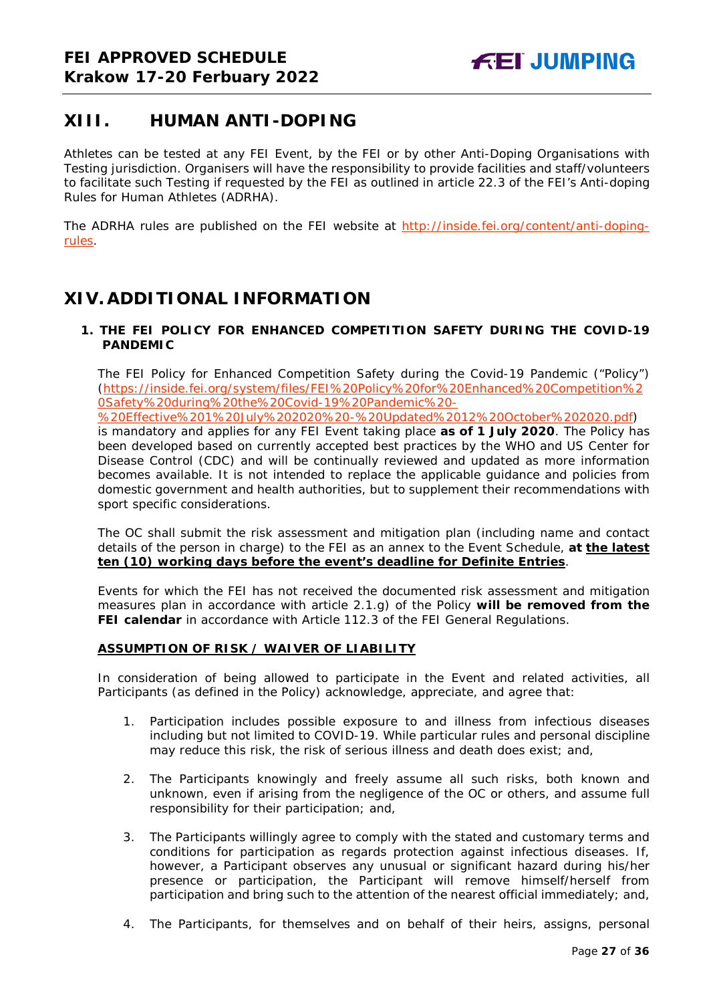# <span id="page-26-0"></span>**XIII. HUMAN ANTI-DOPING**

Athletes can be tested at any FEI Event, by the FEI or by other Anti-Doping Organisations with Testing jurisdiction. Organisers will have the responsibility to provide facilities and staff/volunteers to facilitate such Testing if requested by the FEI as outlined in article 22.3 of the FEI's Anti-doping Rules for Human Athletes (ADRHA).

The ADRHA rules are published on the FEI website at [http://inside.fei.org/content/anti-doping](http://inside.fei.org/content/anti-doping-rules)[rules.](http://inside.fei.org/content/anti-doping-rules)

# <span id="page-26-1"></span>**XIV. ADDITIONAL INFORMATION**

## <span id="page-26-2"></span>**1. THE FEI POLICY FOR ENHANCED COMPETITION SAFETY DURING THE COVID-19 PANDEMIC**

The FEI Policy for Enhanced Competition Safety during the Covid-19 Pandemic ("Policy") (https://inside.fei.org/system/files/FEI%20Policy%20for%20Enhanced%20Competition%2 0Safety%20during%20the%20Covid-19%20Pandemic%20-

%20Effective%201%20July%202020%20-%20Updated%2012%20October%202020.pdf) is mandatory and applies for any FEI Event taking place **as of 1 July 2020**. The Policy has been developed based on currently accepted best practices by the WHO and US Center for Disease Control (CDC) and will be continually reviewed and updated as more information becomes available. It is not intended to replace the applicable guidance and policies from domestic government and health authorities, but to supplement their recommendations with sport specific considerations.

The OC shall submit the risk assessment and mitigation plan (including name and contact details of the person in charge) to the FEI as an annex to the Event Schedule, **at the latest ten (10) working days before the event's deadline for Definite Entries**.

Events for which the FEI has not received the documented risk assessment and mitigation measures plan in accordance with article 2.1.g) of the Policy **will be removed from the FEI calendar** in accordance with Article 112.3 of the FEI General Regulations.

## **ASSUMPTION OF RISK / WAIVER OF LIABILITY**

In consideration of being allowed to participate in the Event and related activities, all Participants (as defined in the Policy) acknowledge, appreciate, and agree that:

- 1. Participation includes possible exposure to and illness from infectious diseases including but not limited to COVID-19. While particular rules and personal discipline may reduce this risk, the risk of serious illness and death does exist; and,
- 2. The Participants knowingly and freely assume all such risks, both known and unknown, even if arising from the negligence of the OC or others, and assume full responsibility for their participation; and,
- 3. The Participants willingly agree to comply with the stated and customary terms and conditions for participation as regards protection against infectious diseases. If, however, a Participant observes any unusual or significant hazard during his/her presence or participation, the Participant will remove himself/herself from participation and bring such to the attention of the nearest official immediately; and,
- 4. The Participants, for themselves and on behalf of their heirs, assigns, personal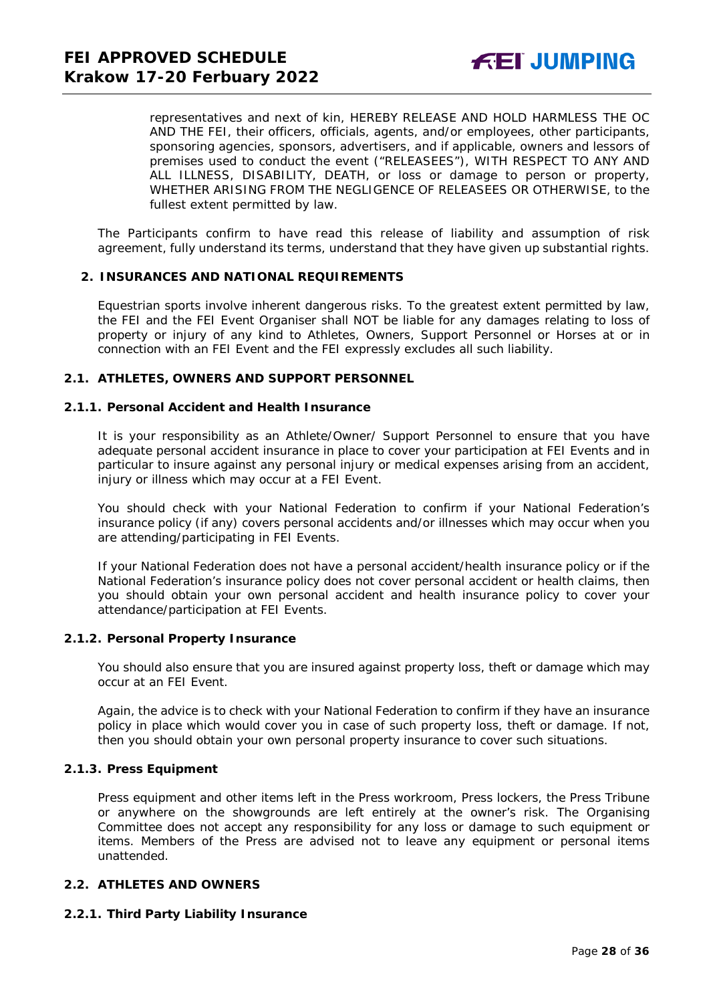representatives and next of kin, HEREBY RELEASE AND HOLD HARMLESS THE OC AND THE FEI, their officers, officials, agents, and/or employees, other participants, sponsoring agencies, sponsors, advertisers, and if applicable, owners and lessors of premises used to conduct the event ("RELEASEES"), WITH RESPECT TO ANY AND ALL ILLNESS, DISABILITY, DEATH, or loss or damage to person or property, WHETHER ARISING FROM THE NEGLIGENCE OF RELEASEES OR OTHERWISE, to the fullest extent permitted by law.

The Participants confirm to have read this release of liability and assumption of risk agreement, fully understand its terms, understand that they have given up substantial rights.

#### <span id="page-27-0"></span>**2. INSURANCES AND NATIONAL REQUIREMENTS**

Equestrian sports involve inherent dangerous risks. To the greatest extent permitted by law, the FEI and the FEI Event Organiser shall NOT be liable for any damages relating to loss of property or injury of any kind to Athletes, Owners, Support Personnel or Horses at or in connection with an FEI Event and the FEI expressly excludes all such liability.

#### **2.1. ATHLETES, OWNERS AND SUPPORT PERSONNEL**

#### **2.1.1. Personal Accident and Health Insurance**

It is your responsibility as an Athlete/Owner/ Support Personnel to ensure that you have adequate personal accident insurance in place to cover your participation at FEI Events and in particular to insure against any personal injury or medical expenses arising from an accident, injury or illness which may occur at a FEI Event.

You should check with your National Federation to confirm if your National Federation's insurance policy (if any) covers personal accidents and/or illnesses which may occur when you are attending/participating in FEI Events.

If your National Federation does not have a personal accident/health insurance policy or if the National Federation's insurance policy does not cover personal accident or health claims, then you should obtain your own personal accident and health insurance policy to cover your attendance/participation at FEI Events.

#### **2.1.2. Personal Property Insurance**

You should also ensure that you are insured against property loss, theft or damage which may occur at an FEI Event.

Again, the advice is to check with your National Federation to confirm if they have an insurance policy in place which would cover you in case of such property loss, theft or damage. If not, then you should obtain your own personal property insurance to cover such situations.

#### **2.1.3. Press Equipment**

Press equipment and other items left in the Press workroom, Press lockers, the Press Tribune or anywhere on the showgrounds are left entirely at the owner's risk. The Organising Committee does not accept any responsibility for any loss or damage to such equipment or items. Members of the Press are advised not to leave any equipment or personal items unattended.

#### **2.2. ATHLETES AND OWNERS**

#### **2.2.1. Third Party Liability Insurance**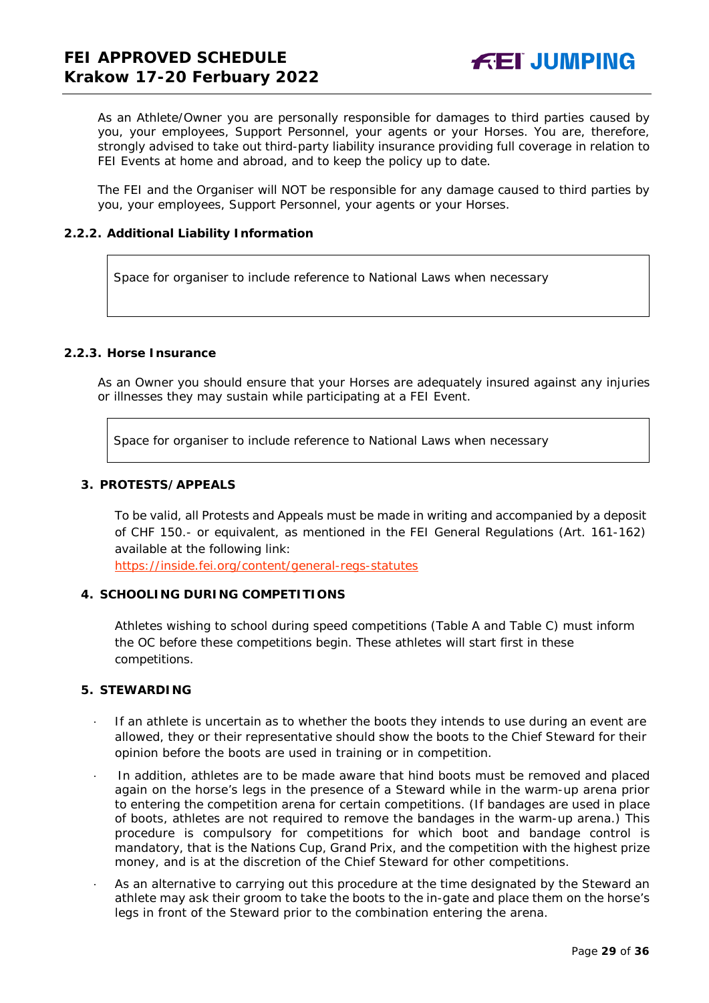As an Athlete/Owner you are personally responsible for damages to third parties caused by you, your employees, Support Personnel, your agents or your Horses. You are, therefore, strongly advised to take out third-party liability insurance providing full coverage in relation to FEI Events at home and abroad, and to keep the policy up to date.

The FEI and the Organiser will NOT be responsible for any damage caused to third parties by you, your employees, Support Personnel, your agents or your Horses.

#### **2.2.2. Additional Liability Information**

Space for organiser to include reference to National Laws when necessary

## **2.2.3. Horse Insurance**

As an Owner you should ensure that your Horses are adequately insured against any injuries or illnesses they may sustain while participating at a FEI Event.

Space for organiser to include reference to National Laws when necessary

#### <span id="page-28-0"></span>**3. PROTESTS/APPEALS**

To be valid, all Protests and Appeals must be made in writing and accompanied by a deposit of CHF 150.- or equivalent, as mentioned in the FEI General Regulations (Art. 161-162) available at the following link:

<https://inside.fei.org/content/general-regs-statutes>

## <span id="page-28-1"></span>**4. SCHOOLING DURING COMPETITIONS**

Athletes wishing to school during speed competitions (Table A and Table C) must inform the OC before these competitions begin. These athletes will start first in these competitions.

#### <span id="page-28-2"></span>**5. STEWARDING**

- If an athlete is uncertain as to whether the boots they intends to use during an event are allowed, they or their representative should show the boots to the Chief Steward for their opinion before the boots are used in training or in competition.
- In addition, athletes are to be made aware that hind boots must be removed and placed again on the horse's legs in the presence of a Steward while in the warm-up arena prior to entering the competition arena for certain competitions. (If bandages are used in place of boots, athletes are not required to remove the bandages in the warm-up arena.) This procedure is compulsory for competitions for which boot and bandage control is mandatory, that is the Nations Cup, Grand Prix, and the competition with the highest prize money, and is at the discretion of the Chief Steward for other competitions.
- As an alternative to carrying out this procedure at the time designated by the Steward an athlete may ask their groom to take the boots to the in-gate and place them on the horse's legs in front of the Steward prior to the combination entering the arena.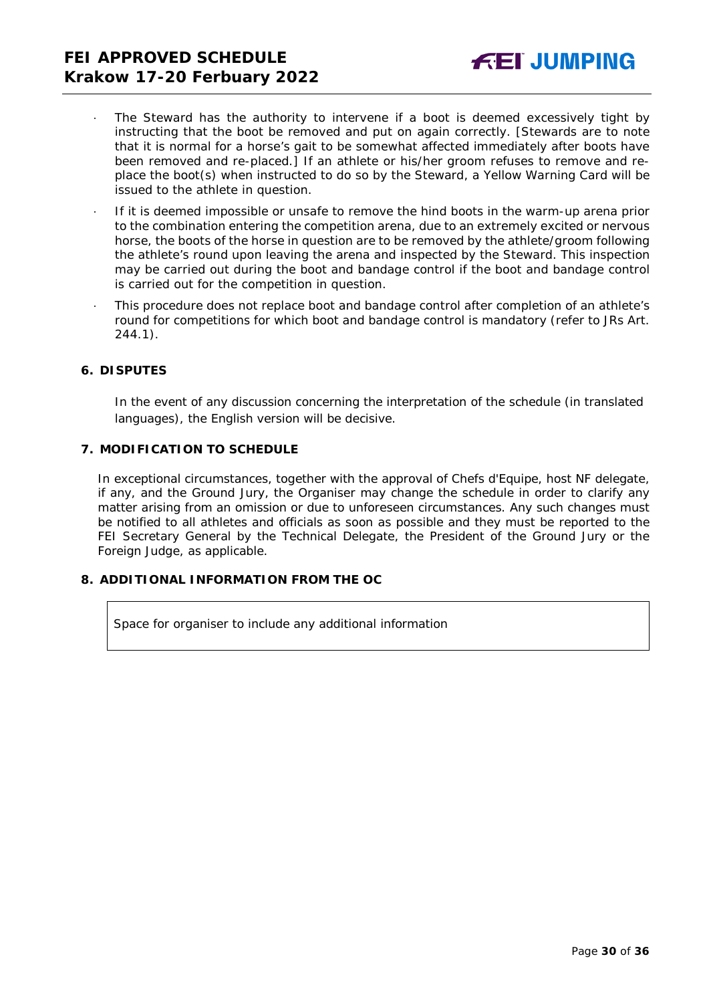- The Steward has the authority to intervene if a boot is deemed excessively tight by instructing that the boot be removed and put on again correctly. *[Stewards are to note that it is normal for a horse's gait to be somewhat affected immediately after boots have been removed and re-placed.]* If an athlete or his/her groom refuses to remove and replace the boot(s) when instructed to do so by the Steward, a Yellow Warning Card will be issued to the athlete in question.
- · If it is deemed impossible or unsafe to remove the hind boots in the warm-up arena prior to the combination entering the competition arena, due to an extremely excited or nervous horse, the boots of the horse in question are to be removed by the athlete/groom following the athlete's round upon leaving the arena and inspected by the Steward. This inspection may be carried out during the boot and bandage control if the boot and bandage control is carried out for the competition in question.
- · This procedure does not replace boot and bandage control after completion of an athlete's round for competitions for which boot and bandage control is mandatory (refer to JRs Art. 244.1).

#### <span id="page-29-0"></span>**6. DISPUTES**

In the event of any discussion concerning the interpretation of the schedule (in translated languages), the English version will be decisive.

#### <span id="page-29-1"></span>**7. MODIFICATION TO SCHEDULE**

In exceptional circumstances, together with the approval of Chefs d'Equipe, host NF delegate, if any, and the Ground Jury, the Organiser may change the schedule in order to clarify any matter arising from an omission or due to unforeseen circumstances. Any such changes must be notified to all athletes and officials as soon as possible and they must be reported to the FEI Secretary General by the Technical Delegate, the President of the Ground Jury or the Foreign Judge, as applicable.

## <span id="page-29-2"></span>**8. ADDITIONAL INFORMATION FROM THE OC**

Space for organiser to include any additional information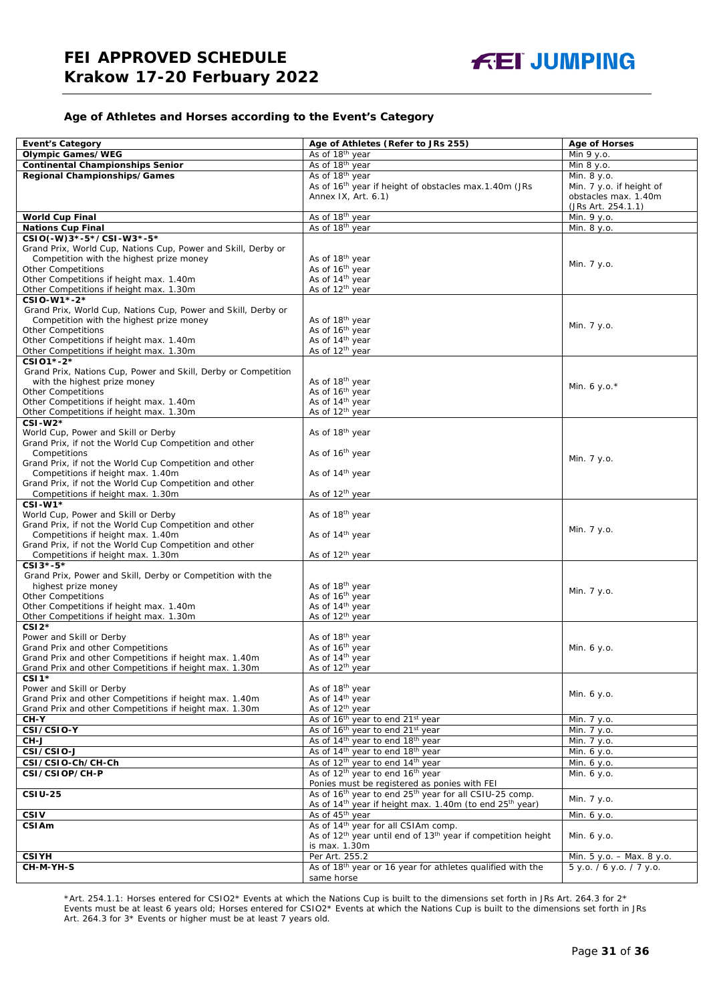#### **Age of Athletes and Horses according to the Event's Category**

| <b>Event's Category</b>                                                                     | Age of Athletes (Refer to JRs 255)                                                                                             | <b>Age of Horses</b>      |
|---------------------------------------------------------------------------------------------|--------------------------------------------------------------------------------------------------------------------------------|---------------------------|
| <b>Olympic Games/WEG</b>                                                                    | As of 18 <sup>th</sup> year                                                                                                    | Min 9 y.o.                |
| <b>Continental Championships Senior</b>                                                     | As of 18 <sup>th</sup> year                                                                                                    | Min 8 y.o.                |
| Regional Championships/Games                                                                | As of 18 <sup>th</sup> year                                                                                                    | Min. 8 y.o.               |
|                                                                                             | As of 16 <sup>th</sup> year if height of obstacles max.1.40m (JRs                                                              | Min. 7 y.o. if height of  |
|                                                                                             | Annex IX, Art. 6.1)                                                                                                            | obstacles max. 1.40m      |
|                                                                                             |                                                                                                                                | (JRs Art. 254.1.1)        |
| <b>World Cup Final</b>                                                                      | As of 18th year                                                                                                                | Min. 9 y.o.               |
| <b>Nations Cup Final</b>                                                                    | As of 18th year                                                                                                                | Min. 8 y.o.               |
| CSIO(-W)3*-5*/CSI-W3*-5*                                                                    |                                                                                                                                |                           |
| Grand Prix, World Cup, Nations Cup, Power and Skill, Derby or                               |                                                                                                                                |                           |
| Competition with the highest prize money                                                    | As of 18 <sup>th</sup> year                                                                                                    | Min. 7 y.o.               |
| <b>Other Competitions</b>                                                                   | As of 16th year                                                                                                                |                           |
| Other Competitions if height max. 1.40m                                                     | As of 14 <sup>th</sup> year                                                                                                    |                           |
| Other Competitions if height max. 1.30m                                                     | As of 12 <sup>th</sup> year                                                                                                    |                           |
| CSIO-W1*-2*                                                                                 |                                                                                                                                |                           |
| Grand Prix, World Cup, Nations Cup, Power and Skill, Derby or                               |                                                                                                                                |                           |
| Competition with the highest prize money<br><b>Other Competitions</b>                       | As of 18 <sup>th</sup> year<br>As of 16 <sup>th</sup> year                                                                     | Min. 7 y.o.               |
| Other Competitions if height max. 1.40m                                                     | As of 14 <sup>th</sup> year                                                                                                    |                           |
| Other Competitions if height max. 1.30m                                                     | As of 12 <sup>th</sup> year                                                                                                    |                           |
| CSI01*-2*                                                                                   |                                                                                                                                |                           |
| Grand Prix, Nations Cup, Power and Skill, Derby or Competition                              |                                                                                                                                |                           |
| with the highest prize money                                                                | As of 18 <sup>th</sup> year                                                                                                    |                           |
| <b>Other Competitions</b>                                                                   | As of 16 <sup>th</sup> year                                                                                                    | Min. 6 y.o. $*$           |
| Other Competitions if height max. 1.40m                                                     | As of 14 <sup>th</sup> year                                                                                                    |                           |
| Other Competitions if height max. 1.30m                                                     | As of 12 <sup>th</sup> year                                                                                                    |                           |
| $CSI-W2*$                                                                                   |                                                                                                                                |                           |
| World Cup, Power and Skill or Derby                                                         | As of 18th year                                                                                                                |                           |
| Grand Prix, if not the World Cup Competition and other                                      |                                                                                                                                |                           |
| Competitions                                                                                | As of 16 <sup>th</sup> year                                                                                                    | Min. 7 y.o.               |
| Grand Prix, if not the World Cup Competition and other                                      |                                                                                                                                |                           |
| Competitions if height max. 1.40m                                                           | As of 14 <sup>th</sup> year                                                                                                    |                           |
| Grand Prix, if not the World Cup Competition and other<br>Competitions if height max. 1.30m | As of 12 <sup>th</sup> year                                                                                                    |                           |
| $CSI-W1*$                                                                                   |                                                                                                                                |                           |
| World Cup, Power and Skill or Derby                                                         | As of 18 <sup>th</sup> year                                                                                                    |                           |
| Grand Prix, if not the World Cup Competition and other                                      |                                                                                                                                |                           |
| Competitions if height max. 1.40m                                                           | As of 14 <sup>th</sup> year                                                                                                    | Min. 7 y.o.               |
| Grand Prix, if not the World Cup Competition and other                                      |                                                                                                                                |                           |
| Competitions if height max. 1.30m                                                           | As of 12 <sup>th</sup> year                                                                                                    |                           |
| CSI3*-5*                                                                                    |                                                                                                                                |                           |
| Grand Prix, Power and Skill, Derby or Competition with the                                  |                                                                                                                                |                           |
| highest prize money                                                                         | As of 18th year                                                                                                                | Min. 7 y.o.               |
| <b>Other Competitions</b>                                                                   | As of 16 <sup>th</sup> year                                                                                                    |                           |
| Other Competitions if height max. 1.40m                                                     | As of 14 <sup>th</sup> year                                                                                                    |                           |
| Other Competitions if height max. 1.30m                                                     | As of 12 <sup>th</sup> year                                                                                                    |                           |
| $CSI2*$                                                                                     |                                                                                                                                |                           |
| Power and Skill or Derby<br>Grand Prix and other Competitions                               | As of 18th year<br>As of 16 <sup>th</sup> year                                                                                 | Min. 6 y.o.               |
| Grand Prix and other Competitions if height max. 1.40m                                      | As of 14 <sup>th</sup> year                                                                                                    |                           |
| Grand Prix and other Competitions if height max. 1.30m                                      | As of 12 <sup>th</sup> vear                                                                                                    |                           |
| CSI <sub>1</sub> *                                                                          |                                                                                                                                |                           |
| Power and Skill or Derby                                                                    | As of 18 <sup>th</sup> year                                                                                                    |                           |
| Grand Prix and other Competitions if height max. 1.40m                                      | As of 14 <sup>th</sup> year                                                                                                    | Min. 6 y.o.               |
| Grand Prix and other Competitions if height max. 1.30m                                      | As of 12 <sup>th</sup> year                                                                                                    |                           |
| CH-Y                                                                                        | As of 16 <sup>th</sup> year to end 21 <sup>st</sup> year                                                                       | Min. 7 y.o.               |
| CSI/CSIO-Y                                                                                  | As of 16 <sup>th</sup> year to end 21 <sup>st</sup> year                                                                       | Min. 7 y.o.               |
| CH-J                                                                                        | As of 14 <sup>th</sup> year to end 18 <sup>th</sup> year                                                                       | Min. 7 y.o.               |
| CSI/CSIO-J                                                                                  | As of 14 <sup>th</sup> year to end 18 <sup>th</sup> year                                                                       | Min. 6 y.o.               |
| CSI/CSIO-Ch/CH-Ch                                                                           | As of 12 <sup>th</sup> year to end 14 <sup>th</sup> year                                                                       | Min. 6 y.o.               |
| CSI/CSIOP/CH-P                                                                              | As of 12 <sup>th</sup> year to end 16 <sup>th</sup> year                                                                       | Min. 6 y.o.               |
| $CSIU-25$                                                                                   | Ponies must be registered as ponies with FEI<br>As of 16 <sup>th</sup> year to end 25 <sup>th</sup> year for all CSIU-25 comp. |                           |
|                                                                                             | As of 14 <sup>th</sup> year if height max. 1.40m (to end 25 <sup>th</sup> year)                                                | Min. 7 y.o.               |
| <b>CSIV</b>                                                                                 | As of 45 <sup>th</sup> year                                                                                                    | Min. 6 y.o.               |
| <b>CSIAm</b>                                                                                | As of 14 <sup>th</sup> year for all CSIAm comp.                                                                                |                           |
|                                                                                             | As of 12 <sup>th</sup> year until end of 13 <sup>th</sup> year if competition height                                           | Min. 6 y.o.               |
|                                                                                             | is max. 1.30m                                                                                                                  |                           |
| <b>CSIYH</b>                                                                                | Per Art. 255.2                                                                                                                 | Min. 5 y.o. - Max. 8 y.o. |
| CH-M-YH-S                                                                                   | As of 18th year or 16 year for athletes qualified with the                                                                     | 5 y.o. / 6 y.o. / 7 y.o.  |
|                                                                                             | same horse                                                                                                                     |                           |

\*Art. 254.1.1: Horses entered for CSIO2\* Events at which the Nations Cup is built to the dimensions set forth in JRs Art. 264.3 for 2\* Events must be at least 6 years old; Horses entered for CSIO2\* Events at which the Nations Cup is built to the dimensions set forth in JRs Art. 264.3 for 3\* Events or higher must be at least 7 years old.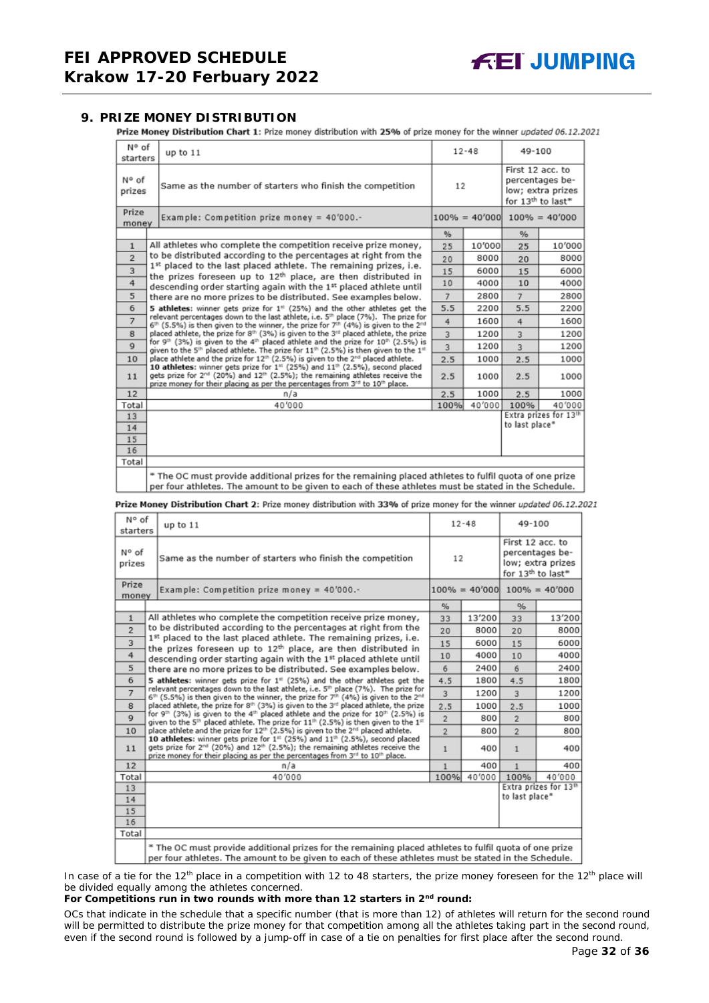## <span id="page-31-0"></span>**9. PRIZE MONEY DISTRIBUTION**

Prize Money Distribution Chart 1: Prize money distribution with 25% of prize money for the winner updated 06.12.2021

| N° of<br>starters                                                                                                                                                                                                               | up to 11                                                                                                                                                                                                                                                                                        |      | $12 - 48$ |                                                   | 49-100                               |  |
|---------------------------------------------------------------------------------------------------------------------------------------------------------------------------------------------------------------------------------|-------------------------------------------------------------------------------------------------------------------------------------------------------------------------------------------------------------------------------------------------------------------------------------------------|------|-----------|---------------------------------------------------|--------------------------------------|--|
| N° of<br>prizes                                                                                                                                                                                                                 | Same as the number of starters who finish the competition                                                                                                                                                                                                                                       | 12   |           | First 12 acc. to<br>for 13 <sup>th</sup> to last* | percentages be-<br>low; extra prizes |  |
| Prize<br>money                                                                                                                                                                                                                  | Example: Competition prize money = $40'000$ .-                                                                                                                                                                                                                                                  |      |           |                                                   | $100\% = 40'000$ $100\% = 40'000$    |  |
|                                                                                                                                                                                                                                 |                                                                                                                                                                                                                                                                                                 | %    |           | %                                                 |                                      |  |
| $\mathbf{1}$                                                                                                                                                                                                                    | All athletes who complete the competition receive prize money,                                                                                                                                                                                                                                  | 25   | 10'000    | 25                                                | 10'000                               |  |
| $\overline{2}$                                                                                                                                                                                                                  | to be distributed according to the percentages at right from the                                                                                                                                                                                                                                | 20   | 8000      | 20                                                | 8000                                 |  |
| 3                                                                                                                                                                                                                               | 1st placed to the last placed athlete. The remaining prizes, i.e.<br>the prizes foreseen up to 12 <sup>th</sup> place, are then distributed in                                                                                                                                                  | 15   | 6000      | 15                                                | 6000                                 |  |
| 4                                                                                                                                                                                                                               | descending order starting again with the 1st placed athlete until                                                                                                                                                                                                                               | 10   | 4000      | 10                                                | 4000                                 |  |
| 5                                                                                                                                                                                                                               | there are no more prizes to be distributed. See examples below.                                                                                                                                                                                                                                 | 7    | 2800      | $\overline{7}$                                    | 2800                                 |  |
| 6<br>5 athletes: winner gets prize for 1 <sup>#</sup> (25%) and the other athletes get the                                                                                                                                      |                                                                                                                                                                                                                                                                                                 | 5.5  | 2200      | 5.5                                               | 2200                                 |  |
| relevant percentages down to the last athlete, i.e. 5 <sup>th</sup> place (7%). The prize for<br>$\overline{7}$<br>$6th$ (5.5%) is then given to the winner, the prize for 7 <sup>th</sup> (4%) is given to the 2 <sup>nd</sup> |                                                                                                                                                                                                                                                                                                 |      | 1600      | 4                                                 | 1600                                 |  |
| 8                                                                                                                                                                                                                               | placed athlete, the prize for 8th (3%) is given to the 3rd placed athlete, the prize                                                                                                                                                                                                            |      |           | $\overline{3}$                                    | 1200                                 |  |
| $\mathbf{Q}$                                                                                                                                                                                                                    | for 9 <sup>th</sup> (3%) is given to the 4 <sup>th</sup> placed athlete and the prize for 10 <sup>th</sup> (2.5%) is<br>given to the 5 <sup>th</sup> placed athlete. The prize for $11th$ (2.5%) is then given to the $1th$                                                                     |      | 1200      | $\overline{3}$                                    | 1200                                 |  |
| 10                                                                                                                                                                                                                              | place athlete and the prize for 12 <sup>th</sup> (2.5%) is given to the 2 <sup>nd</sup> placed athlete.                                                                                                                                                                                         | 2.5  | 1000      | 2.5                                               | 1000                                 |  |
| 11                                                                                                                                                                                                                              | 10 athletes: winner gets prize for $131$ (25%) and $11th$ (2.5%), second placed<br>gets prize for 2 <sup>nd</sup> (20%) and 12 <sup>th</sup> (2.5%); the remaining athletes receive the<br>prize money for their placing as per the percentages from 3 <sup>rd</sup> to 10 <sup>th</sup> place. | 2.5  | 1000      | 2.5                                               | 1000                                 |  |
| 12                                                                                                                                                                                                                              | n/a                                                                                                                                                                                                                                                                                             | 2.5  | 1000      | 2.5                                               | 1000                                 |  |
| Total                                                                                                                                                                                                                           | 40'000                                                                                                                                                                                                                                                                                          | 100% | 40'000    | 100%                                              | 40'000                               |  |
| 13                                                                                                                                                                                                                              |                                                                                                                                                                                                                                                                                                 |      |           |                                                   | Extra prizes for 13th                |  |
| 14                                                                                                                                                                                                                              |                                                                                                                                                                                                                                                                                                 |      |           | to last place*                                    |                                      |  |
| 15                                                                                                                                                                                                                              |                                                                                                                                                                                                                                                                                                 |      |           |                                                   |                                      |  |
| 16                                                                                                                                                                                                                              |                                                                                                                                                                                                                                                                                                 |      |           |                                                   |                                      |  |
| Total                                                                                                                                                                                                                           |                                                                                                                                                                                                                                                                                                 |      |           |                                                   |                                      |  |
|                                                                                                                                                                                                                                 | * The OC must provide additional prizes for the remaining placed athletes to fulfil quota of one prize<br>per four athletes. The amount to be given to each of these athletes must be stated in the Schedule.                                                                                   |      |           |                                                   |                                      |  |

Prize Money Distribution Chart 2: Prize money distribution with 33% of prize money for the winner updated 06.12.2021

| N° of<br>starters                                                                 | up to $11$                                                                                                                                                                                                                                                                                                             | $12 - 48$<br>49-100 |        |                |                                                                                           |  |
|-----------------------------------------------------------------------------------|------------------------------------------------------------------------------------------------------------------------------------------------------------------------------------------------------------------------------------------------------------------------------------------------------------------------|---------------------|--------|----------------|-------------------------------------------------------------------------------------------|--|
| N° of<br>prizes                                                                   | Same as the number of starters who finish the competition                                                                                                                                                                                                                                                              |                     | 12     |                | First 12 acc. to<br>percentages be-<br>low; extra prizes<br>for 13 <sup>th</sup> to last* |  |
| Prize<br>money                                                                    | Example: Competition prize money = 40'000.-                                                                                                                                                                                                                                                                            |                     |        |                | $100\% = 40'000$ $100\% = 40'000$                                                         |  |
|                                                                                   |                                                                                                                                                                                                                                                                                                                        | $\frac{9}{6}$       |        | %              |                                                                                           |  |
| $\mathbf{1}$                                                                      | All athletes who complete the competition receive prize money,                                                                                                                                                                                                                                                         | 33                  | 13'200 | 33             | 13'200                                                                                    |  |
| $\overline{2}$                                                                    | to be distributed according to the percentages at right from the                                                                                                                                                                                                                                                       | 20                  | 8000   | 20             | 8000                                                                                      |  |
| 3                                                                                 | 1st placed to the last placed athlete. The remaining prizes, i.e.<br>the prizes foreseen up to 12 <sup>th</sup> place, are then distributed in                                                                                                                                                                         | 15                  | 6000   | 15             | 6000                                                                                      |  |
| 4                                                                                 | descending order starting again with the 1st placed athlete until                                                                                                                                                                                                                                                      | 10                  | 4000   | 10             | 4000                                                                                      |  |
| 5                                                                                 | there are no more prizes to be distributed. See examples below.                                                                                                                                                                                                                                                        |                     | 2400   | 6              | 2400                                                                                      |  |
| 6<br>5 athletes: winner gets prize for $1st$ (25%) and the other athletes get the |                                                                                                                                                                                                                                                                                                                        | 4.5                 | 1800   | 4.5            | 1800                                                                                      |  |
| $\overline{7}$                                                                    | relevant percentages down to the last athlete, i.e. 5 <sup>th</sup> place (7%). The prize for<br>6 <sup>th</sup> (5.5%) is then given to the winner, the prize for 7 <sup>th</sup> (4%) is given to the 2 <sup>nd</sup>                                                                                                |                     |        | $\overline{3}$ | 1200                                                                                      |  |
| 8                                                                                 | placed athlete, the prize for 8th (3%) is given to the 3 <sup>rd</sup> placed athlete, the prize                                                                                                                                                                                                                       |                     | 1000   | 2.5            | 1000                                                                                      |  |
| $\mathbf Q$                                                                       | for 9th (3%) is given to the 4th placed athlete and the prize for 10th (2.5%) is<br>given to the 5 <sup>th</sup> placed athlete. The prize for 11 <sup>th</sup> (2.5%) is then given to the 1 <sup>st</sup><br>place athlete and the prize for 12 <sup>th</sup> (2.5%) is given to the 2 <sup>rd</sup> placed athlete. |                     | 800    | $\overline{2}$ | 800                                                                                       |  |
| 10                                                                                |                                                                                                                                                                                                                                                                                                                        |                     | 800    | $\overline{2}$ | 800                                                                                       |  |
| 11                                                                                | 10 athletes: winner gets prize for 1st (25%) and 11th (2.5%), second placed<br>gets prize for 2 <sup>nd</sup> (20%) and 12 <sup>th</sup> (2.5%); the remaining athletes receive the<br>prize money for their placing as per the percentages from 3rd to 10th place.                                                    | $\mathbf{1}$        | 400    | $\mathbf{1}$   | 400                                                                                       |  |
| 12                                                                                | n/a                                                                                                                                                                                                                                                                                                                    | 1                   | 400    | 1              | 400                                                                                       |  |
| Total                                                                             | 40'000                                                                                                                                                                                                                                                                                                                 | 100%                | 40'000 | 100%           | 40'000                                                                                    |  |
| 13                                                                                |                                                                                                                                                                                                                                                                                                                        |                     |        | to last place* | Extra prizes for 13th                                                                     |  |
| 14                                                                                |                                                                                                                                                                                                                                                                                                                        |                     |        |                |                                                                                           |  |
| 15                                                                                |                                                                                                                                                                                                                                                                                                                        |                     |        |                |                                                                                           |  |
| 16<br>Total                                                                       |                                                                                                                                                                                                                                                                                                                        |                     |        |                |                                                                                           |  |
|                                                                                   |                                                                                                                                                                                                                                                                                                                        |                     |        |                |                                                                                           |  |
|                                                                                   | * The OC must provide additional prizes for the remaining placed athletes to fulfil quota of one prize<br>per four athletes. The amount to be given to each of these athletes must be stated in the Schedule.                                                                                                          |                     |        |                |                                                                                           |  |

In case of a tie for the 12<sup>th</sup> place in a competition with 12 to 48 starters, the prize money foreseen for the 12<sup>th</sup> place will be divided equally among the athletes concerned.

#### **For Competitions run in two rounds with more than 12 starters in 2nd round:**

*OCs that indicate in the schedule that a specific number (that is more than 12) of athletes will return for the second round will be permitted to distribute the prize money for that competition among all the athletes taking part in the second round, even if the second round is followed by a jump-off in case of a tie on penalties for first place after the second round.*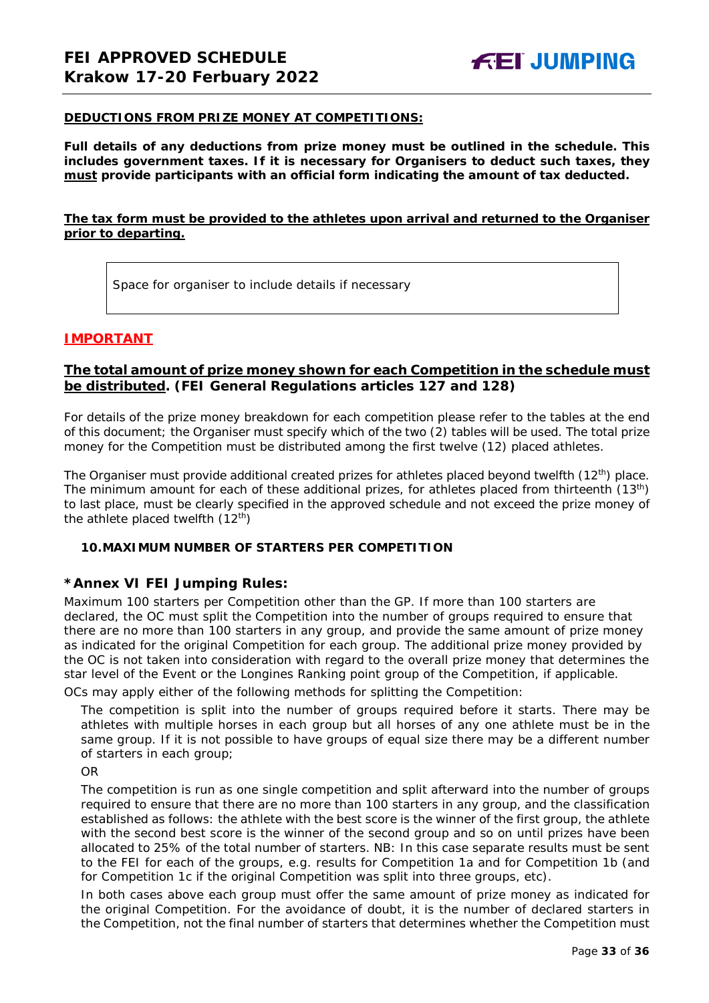#### **DEDUCTIONS FROM PRIZE MONEY AT COMPETITIONS:**

**Full details of any deductions from prize money must be outlined in the schedule. This includes government taxes. If it is necessary for Organisers to deduct such taxes, they must provide participants with an official form indicating the amount of tax deducted.** 

## **The tax form must be provided to the athletes upon arrival and returned to the Organiser prior to departing.**

Space for organiser to include details if necessary

## **IMPORTANT**

## **The total amount of prize money shown for each Competition in the schedule must be distributed. (FEI General Regulations articles 127 and 128)**

For details of the prize money breakdown for each competition please refer to the tables at the end of this document; the Organiser must specify which of the two (2) tables will be used. The total prize money for the Competition must be distributed among the first twelve (12) placed athletes.

The Organiser must provide additional created prizes for athletes placed beyond twelfth (12<sup>th</sup>) place. The minimum amount for each of these additional prizes, for athletes placed from thirteenth (13<sup>th</sup>) to last place, must be clearly specified in the approved schedule and not exceed the prize money of the athlete placed twelfth  $(12<sup>th</sup>)$ 

#### <span id="page-32-0"></span>**10.MAXIMUM NUMBER OF STARTERS PER COMPETITION**

## **\*Annex VI FEI Jumping Rules:**

Maximum 100 starters per Competition other than the GP. If more than 100 starters are declared, the OC must split the Competition into the number of groups required to ensure that there are no more than 100 starters in any group, and provide the same amount of prize money as indicated for the original Competition for each group. The additional prize money provided by the OC is not taken into consideration with regard to the overall prize money that determines the star level of the Event or the Longines Ranking point group of the Competition, if applicable.

OCs may apply either of the following methods for splitting the Competition:

The competition is split into the number of groups required before it starts. There may be athletes with multiple horses in each group but all horses of any one athlete must be in the same group. If it is not possible to have groups of equal size there may be a different number of starters in each group;

OR

The competition is run as one single competition and split afterward into the number of groups required to ensure that there are no more than 100 starters in any group, and the classification established as follows: the athlete with the best score is the winner of the first group, the athlete with the second best score is the winner of the second group and so on until prizes have been allocated to 25% of the total number of starters. *NB: In this case separate results must be sent to the FEI for each of the groups, e.g. results for Competition 1a and for Competition 1b (and for Competition 1c if the original Competition was split into three groups, etc).*

In both cases above each group must offer the same amount of prize money as indicated for the original Competition. For the avoidance of doubt, it is the number of declared starters in the Competition, not the final number of starters that determines whether the Competition must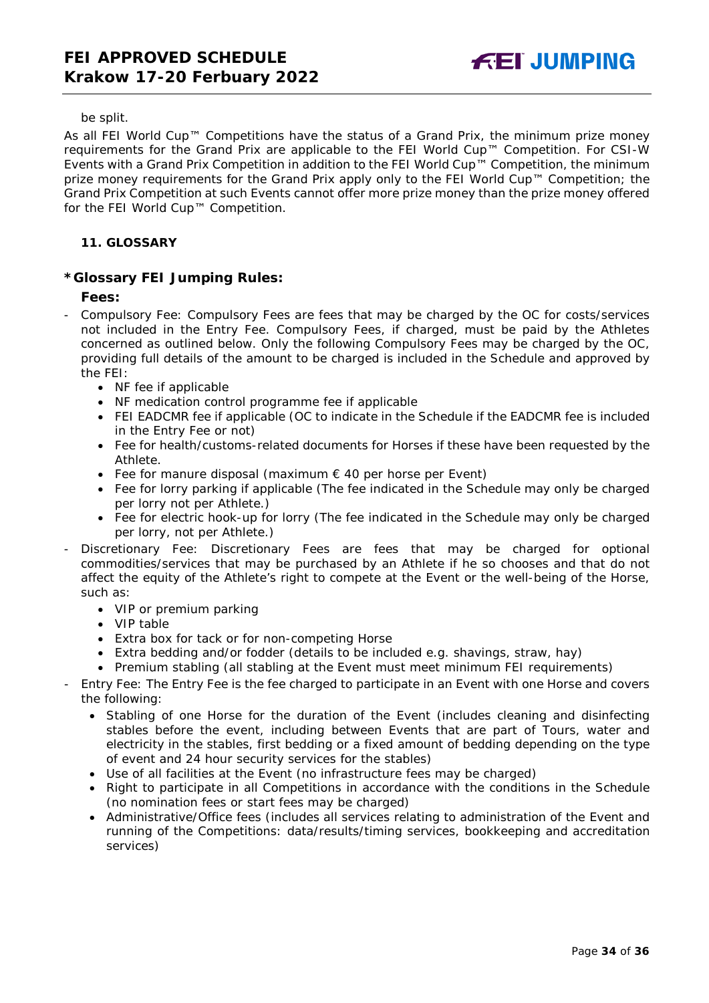#### be split.

As all FEI World Cup™ Competitions have the status of a Grand Prix, the minimum prize money requirements for the Grand Prix are applicable to the FEI World Cup™ Competition. For CSI-W Events with a Grand Prix Competition in addition to the FEI World Cup™ Competition, the minimum prize money requirements for the Grand Prix apply only to the FEI World Cup™ Competition; the Grand Prix Competition at such Events cannot offer more prize money than the prize money offered for the FEI World Cup™ Competition.

## <span id="page-33-0"></span>**11. GLOSSARY**

## **\*Glossary FEI Jumping Rules:**

## **Fees:**

- Compulsory Fee: Compulsory Fees are fees that may be charged by the OC for costs/services not included in the Entry Fee. Compulsory Fees, if charged, must be paid by the Athletes concerned as outlined below. Only the following Compulsory Fees may be charged by the OC, providing full details of the amount to be charged is included in the Schedule and approved by the FEI:
	- NF fee if applicable
	- NF medication control programme fee if applicable
	- FEI EADCMR fee if applicable (OC to indicate in the Schedule if the EADCMR fee is included in the Entry Fee or not)
	- Fee for health/customs-related documents for Horses if these have been requested by the Athlete.
	- Fee for manure disposal (maximum € 40 per horse per Event)
	- Fee for lorry parking if applicable (The fee indicated in the Schedule may only be charged per lorry not per Athlete.)
	- Fee for electric hook-up for lorry (The fee indicated in the Schedule may only be charged per lorry, not per Athlete.)
- Discretionary Fee: Discretionary Fees are fees that may be charged for optional commodities/services that may be purchased by an Athlete if he so chooses and that do not affect the equity of the Athlete's right to compete at the Event or the well-being of the Horse, such as:
	- VIP or premium parking
	- VIP table
	- Extra box for tack or for non-competing Horse
	- Extra bedding and/or fodder (details to be included e.g. shavings, straw, hay)
	- Premium stabling (all stabling at the Event must meet minimum FEI requirements)
- Entry Fee: The Entry Fee is the fee charged to participate in an Event with one Horse and covers the following:
	- Stabling of one Horse for the duration of the Event (includes cleaning and disinfecting stables before the event, including between Events that are part of Tours, water and electricity in the stables, first bedding or a fixed amount of bedding depending on the type of event and 24 hour security services for the stables)
	- Use of all facilities at the Event (no infrastructure fees may be charged)
	- Right to participate in all Competitions in accordance with the conditions in the Schedule (no nomination fees or start fees may be charged)
	- Administrative/Office fees (includes all services relating to administration of the Event and running of the Competitions: data/results/timing services, bookkeeping and accreditation services)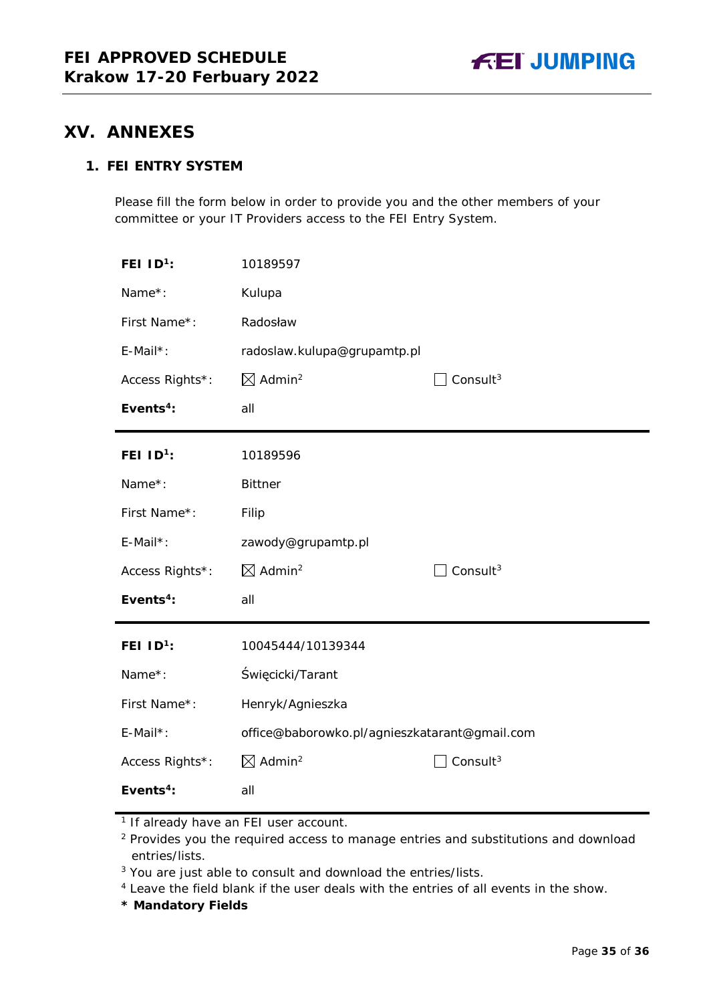

# <span id="page-34-0"></span>**XV. ANNEXES**

## **1. FEI ENTRY SYSTEM**

Please fill the form below in order to provide you and the other members of your committee or your IT Providers access to the FEI Entry System.

| FEI $ID1$ :           | 10189597                                      |                      |
|-----------------------|-----------------------------------------------|----------------------|
| Name*:                | Kulupa                                        |                      |
| First Name*:          | Radosław                                      |                      |
| E-Mail*:              | radoslaw.kulupa@grupamtp.pl                   |                      |
| Access Rights*:       | $\boxtimes$ Admin <sup>2</sup>                | Consult $3$          |
| Events <sup>4</sup> : | all                                           |                      |
| FEI $ID^1$ :          | 10189596                                      |                      |
| Name*:                | <b>Bittner</b>                                |                      |
| First Name*:          | Filip                                         |                      |
| E-Mail*:              | zawody@grupamtp.pl                            |                      |
| Access Rights*:       | $\boxtimes$ Admin <sup>2</sup>                | Consult <sup>3</sup> |
| Events <sup>4</sup> : | all                                           |                      |
| FEI $ID1$ :           | 10045444/10139344                             |                      |
| Name*:                | Święcicki/Tarant                              |                      |
| First Name*:          | Henryk/Agnieszka                              |                      |
| E-Mail*:              | office@baborowko.pl/agnieszkatarant@gmail.com |                      |
| Access Rights*:       | $\boxtimes$ Admin <sup>2</sup>                | Consult <sup>3</sup> |
| Events <sup>4</sup> : | all                                           |                      |

<sup>1</sup> If already have an FEI user account.

<sup>2</sup> Provides you the required access to manage entries and substitutions and download entries/lists.

<sup>3</sup> You are just able to consult and download the entries/lists.

<sup>4</sup> Leave the field blank if the user deals with the entries of all events in the show.

**\* Mandatory Fields**